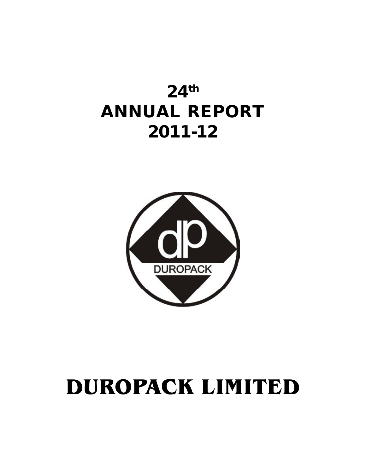# **24th ANNUAL REPORT 2011-12**



# **DUROPACK LIMITED**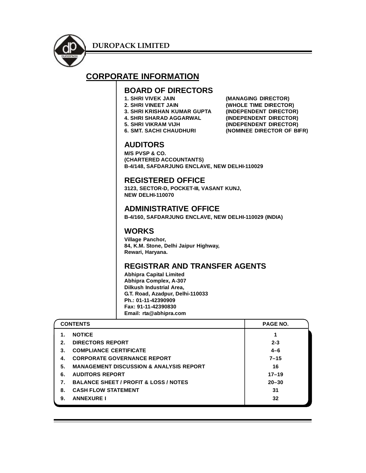

## **CORPORATE INFORMATION**

## **BOARD OF DIRECTORS**

- 
- 
- **3. SHRI KRISHAN KUMAR GUPTA**
- 
- -

**(MANAGING DIRECTOR) 2. SHRI VINEET JAIN (WHOLE TIME DIRECTOR) 4. SHRI SHARAD AGGARWAL (INDEPENDENT DIRECTOR) 5. SHRI VIKRAM VIJH (INDEPENDENT DIRECTOR) 6. SMT. SACHI CHAUDHURI (NOMINEE DIRECTOR OF BIFR)**

## **AUDITORS**

**M/S PVSP & CO. (CHARTERED ACCOUNTANTS) B-4/148, SAFDARJUNG ENCLAVE, NEW DELHI-110029**

## **REGISTERED OFFICE**

**3123, SECTOR-D, POCKET-III, VASANT KUNJ, NEW DELHI-110070**

## **ADMINISTRATIVE OFFICE**

**B-4/160, SAFDARJUNG ENCLAVE, NEW DELHI-110029 (INDIA)**

## **WORKS**

**Village Panchor, 84, K.M. Stone, Delhi Jaipur Highway, Rewari, Haryana.**

## **REGISTRAR AND TRANSFER AGENTS**

**Abhipra Capital Limited Abhipra Complex, A-307 Dilkush Industrial Area, G.T. Road, Azadpur, Delhi-110033 Ph.: 01-11-42390909 Fax: 91-11-42390830 Email: rta@abhipra.com**

|         | <b>CONTENTS</b>                                    | <b>PAGE NO.</b> |
|---------|----------------------------------------------------|-----------------|
|         | <b>NOTICE</b>                                      |                 |
| $2_{-}$ | <b>DIRECTORS REPORT</b>                            | $2 - 3$         |
| 3.      | <b>COMPLIANCE CERTIFICATE</b>                      | $4 - 6$         |
| 4.      | <b>CORPORATE GOVERNANCE REPORT</b>                 | $7 - 15$        |
| 5.      | <b>MANAGEMENT DISCUSSION &amp; ANALYSIS REPORT</b> | 16              |
| 6.      | <b>AUDITORS REPORT</b>                             | $17 - 19$       |
|         | <b>BALANCE SHEET / PROFIT &amp; LOSS / NOTES</b>   | $20 - 30$       |
| 8.      | <b>CASH FLOW STATEMENT</b>                         | 31              |
| 9.      | <b>ANNEXURE I</b>                                  | 32              |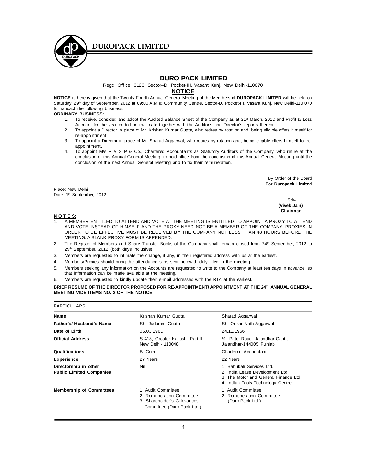

Regd. Office: 3123, Sector–D, Pocket-III, Vasant Kunj, New Delhi-110070

#### **NOTICE**

**NOTICE** is hereby given that the Twenty Fourth Annual General Meeting of the Members of **DUROPACK LIMITED** will be held on Saturday, 29<sup>th</sup> day of September, 2012 at 09:00 A.M at Community Centre, Sector-D, Pocket-III, Vasant Kunj, New Delhi-110 070 to transact the following business:

#### **ORDINARY BUSINESS:**

- 1. To receive, consider, and adopt the Audited Balance Sheet of the Company as at 31<sup>st</sup> March, 2012 and Profit & Loss Account for the year ended on that date together with the Auditor's and Director's reports thereon.
- 2. To appoint a Director in place of Mr. Krishan Kumar Gupta, who retires by rotation and, being eligible offers himself for re-appointment.
- 3. To appoint a Director in place of Mr. Sharad Aggarwal, who retires by rotation and, being eligible offers himself for reappointment.
- 4. To appoint M/s P V S P & Co., Chartered Accountants as Statutory Auditors of the Company, who retire at the conclusion of this Annual General Meeting, to hold office from the conclusion of this Annual General Meeting until the conclusion of the next Annual General Meeting and to fix their remuneration.

By Order of the Board **For Duropack Limited**

Place: New Delhi Date: 1<sup>st</sup> September, 2012

Sd/-  **(Vivek Jain) Chairman**

#### **N O T E S:**

- 1. A MEMBER ENTITLED TO ATTEND AND VOTE AT THE MEETING IS ENTITLED TO APPOINT A PROXY TO ATTEND AND VOTE INSTEAD OF HIMSELF AND THE PROXY NEED NOT BE A MEMBER OF THE COMPANY. PROXIES IN ORDER TO BE EFFECTIVE MUST BE RECEIVED BY THE COMPANY NOT LESS THAN 48 HOURS BEFORE THE MEETING. A BLANK PROXY FORM IS APPENDED.
- 2. The Register of Members and Share Transfer Books of the Company shall remain closed from 24<sup>th</sup> September, 2012 to 29th September, 2012 (both days inclusive).
- 3. Members are requested to intimate the change, if any, in their registered address with us at the earliest.
- 4. Members/Proxies should bring the attendance slips sent herewith duly filled in the meeting.
- 5. Members seeking any information on the Accounts are requested to write to the Company at least ten days in advance, so that information can be made available at the meeting.
- 6. Members are requested to kindly update their e-mail addresses with the RTA at the earliest.

**BRIEF RESUME OF THE DIRECTOR PROPOSED FOR RE-APPOINTMENT/ APPOINTMENT AT THE 24TH ANNUAL GENERAL MEETING VIDE ITEMS NO. 2 OF THE NOTICE**

| <b>PARTICULARS</b>                                       |                                                                                                              |                                                                                                                                            |
|----------------------------------------------------------|--------------------------------------------------------------------------------------------------------------|--------------------------------------------------------------------------------------------------------------------------------------------|
| Name                                                     | Krishan Kumar Gupta                                                                                          | Sharad Aggarwal                                                                                                                            |
| Father's/ Husband's Name                                 | Sh. Jadoram Gupta                                                                                            | Sh. Onkar Nath Aggarwal                                                                                                                    |
| Date of Birth                                            | 05.03.1961                                                                                                   | 24.11.1966                                                                                                                                 |
| <b>Official Address</b>                                  | S-418, Greater Kailash, Part-II,<br>New Delhi- 110048                                                        | 1/4 Patel Road, Jalandhar Cantt,<br>Jalandhar-144005 Punjab                                                                                |
| Qualifications                                           | B. Com.                                                                                                      | <b>Chartered Accountant</b>                                                                                                                |
| <b>Experience</b>                                        | 27 Years                                                                                                     | 22 Years                                                                                                                                   |
| Directorship in other<br><b>Public Limited Companies</b> | Nil                                                                                                          | 1. Bahubali Services Ltd.<br>2. India Lease Development Ltd.<br>3. The Motor and General Finance Ltd.<br>4. Indian Tools Technology Centre |
| <b>Membership of Committees</b>                          | 1. Audit Committee<br>2. Remuneration Committee<br>3. Shareholder's Grievances<br>Committee (Duro Pack Ltd.) | 1. Audit Committee<br>2. Remuneration Committee<br>(Duro Pack Ltd.)                                                                        |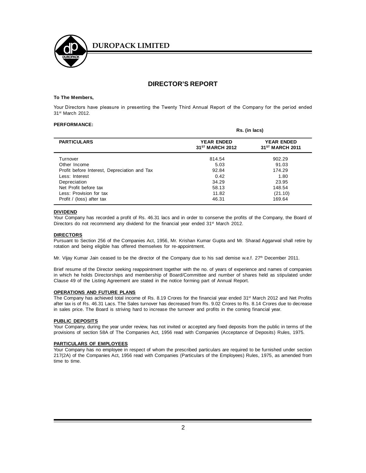

## **DIRECTOR'S REPORT**

#### **To The Members,**

Your Directors have pleasure in presenting the Twenty Third Annual Report of the Company for the period ended 31st March 2012.

#### **PERFORMANCE:**

|                                              | Rs. (in lacs)                                    |                                                  |
|----------------------------------------------|--------------------------------------------------|--------------------------------------------------|
| <b>PARTICULARS</b>                           | <b>YEAR ENDED</b><br>31 <sup>ST</sup> MARCH 2012 | <b>YEAR ENDED</b><br>31 <sup>ST</sup> MARCH 2011 |
| Turnover                                     | 814.54                                           | 902.29                                           |
| Other Income                                 | 5.03                                             | 91.03                                            |
| Profit before Interest, Depreciation and Tax | 92.84                                            | 174.29                                           |
| Less: Interest                               | 0.42                                             | 1.80                                             |
| Depreciation                                 | 34.29                                            | 23.95                                            |
| Net Profit before tax                        | 58.13                                            | 148.54                                           |
| Less: Provision for tax                      | 11.82                                            | (21.10)                                          |
| Profit / (loss) after tax                    | 46.31                                            | 169.64                                           |

#### **DIVIDEND**

Your Company has recorded a profit of Rs. 46.31 lacs and in order to conserve the profits of the Company, the Board of Directors do not recommend any dividend for the financial year ended 31<sup>st</sup> March 2012.

#### **DIRECTORS**

Pursuant to Section 256 of the Companies Act, 1956, Mr. Krishan Kumar Gupta and Mr. Sharad Aggarwal shall retire by rotation and being eligible has offered themselves for re-appointment.

Mr. Vijay Kumar Jain ceased to be the director of the Company due to his sad demise w.e.f. 27th December 2011.

Brief resume of the Director seeking reappointment together with the no. of years of experience and names of companies in which he holds Directorships and membership of Board/Committee and number of shares held as stipulated under Clause 49 of the Listing Agreement are stated in the notice forming part of Annual Report.

#### **OPERATIONS AND FUTURE PLANS**

The Company has achieved total income of Rs. 8.19 Crores for the financial year ended 31<sup>st</sup> March 2012 and Net Profits after tax is of Rs. 46.31 Lacs. The Sales turnover has decreased from Rs. 9.02 Crores to Rs. 8.14 Crores due to decrease in sales price. The Board is striving hard to increase the turnover and profits in the coming financial year.

#### **PUBLIC DEPOSITS**

Your Company, during the year under review, has not invited or accepted any fixed deposits from the public in terms of the provisions of section 58A of The Companies Act, 1956 read with Companies (Acceptance of Deposits) Rules, 1975.

#### **PARTICULARS OF EMPLOYEES**

Your Company has no employee in respect of whom the prescribed particulars are required to be furnished under section 217(2A) of the Companies Act, 1956 read with Companies (Particulars of the Employees) Rules, 1975, as amended from time to time.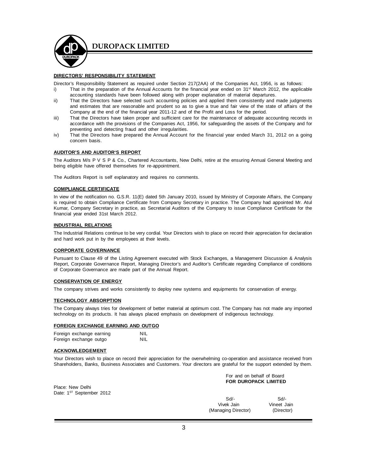

#### **DIRECTORS' RESPONSIBILITY STATEMENT**

Director's Responsibility Statement as required under Section 217(2AA) of the Companies Act, 1956, is as follows:

- i) That in the preparation of the Annual Accounts for the financial year ended on 31<sup>st</sup> March 2012, the applicable accounting standards have been followed along with proper explanation of material departures.
- ii) That the Directors have selected such accounting policies and applied them consistently and made judgments and estimates that are reasonable and prudent so as to give a true and fair view of the state of affairs of the Company at the end of the financial year 2011-12 and of the Profit and Loss for the period.
- iii) That the Directors have taken proper and sufficient care for the maintenance of adequate accounting records in accordance with the provisions of the Companies Act, 1956, for safeguarding the assets of the Company and for preventing and detecting fraud and other irregularities.
- iv) That the Directors have prepared the Annual Account for the financial year ended March 31, 2012 on a going concern basis.

#### **AUDITOR'S AND AUDITOR'S REPORT**

The Auditors M/s P V S P & Co., Chartered Accountants, New Delhi, retire at the ensuring Annual General Meeting and being eligible have offered themselves for re-appointment.

The Auditors Report is self explanatory and requires no comments.

#### **COMPLIANCE CERTIFICATE**

In view of the notification no. G.S.R. 11(E) dated 5th January 2010, issued by Ministry of Corporate Affairs, the Company is required to obtain Compliance Certificate from Company Secretary in practice. The Company had appointed Mr. Atul Kumar, Company Secretary in practice, as Secretarial Auditors of the Company to issue Compliance Certificate for the financial year ended 31st March 2012.

#### **INDUSTRIAL RELATIONS**

The Industrial Relations continue to be very cordial. Your Directors wish to place on record their appreciation for declaration and hard work put in by the employees at their levels.

#### **CORPORATE GOVERNANCE**

Pursuant to Clause 49 of the Listing Agreement executed with Stock Exchanges, a Management Discussion & Analysis Report, Corporate Governance Report, Managing Director's and Auditor's Certificate regarding Compliance of conditions of Corporate Governance are made part of the Annual Report.

#### **CONSERVATION OF ENERGY**

The company strives and works consistently to deploy new systems and equipments for conservation of energy.

#### **TECHNOLOGY ABSORPTION**

The Company always tries for development of better material at optimum cost. The Company has not made any imported technology on its products. It has always placed emphasis on development of indigenous technology.

#### **FOREIGN EXCHANGE EARNING AND OUTGO**

Foreign exchange earning NIL Foreign exchange outgo **NIL** 

#### **ACKNOWLEDGEMENT**

Your Directors wish to place on record their appreciation for the overwhelming co-operation and assistance received from Shareholders, Banks, Business Associates and Customers. Your directors are grateful for the support extended by them.

Place: New Delhi Date: 1<sup>ST</sup> September 2012  For and on behalf of Board **FOR DUROPACK LIMITED**

Sd/- Sd/- Vivek Jain Vineet Jain<br>

vineet Jain (Director) (Director) (Managing Director)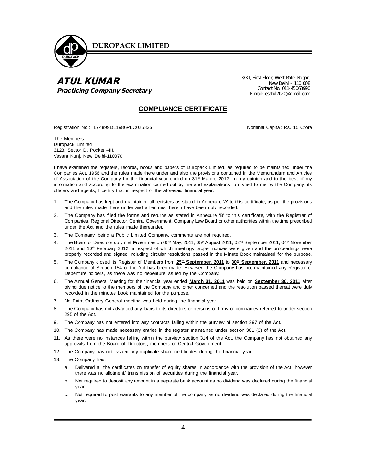

## *ATUL KUMAR Practicing Company Secretary*

3/31, First Floor, West Patel Nagar, New Delhi – 110 008 Contact No. 011-45063990 E-mail: csatul2020@gmail.com

### **COMPLIANCE CERTIFICATE**

Registration No.: L74899DL1986PLC025835 Nominal Capital: Rs. 15 Crore

The Members Duropack Limited 3123, Sector D, Pocket –III, Vasant Kunj, New Delhi-110070

I have examined the registers, records, books and papers of Duropack Limited, as required to be maintained under the Companies Act, 1956 and the rules made there under and also the provisions contained in the Memorandum and Articles of Association of the Company for the financial year ended on 31<sup>st</sup> March, 2012. In my opinion and to the best of my information and according to the examination carried out by me and explanations furnished to me by the Company, its officers and agents, I certify that in respect of the aforesaid financial year:

- 1. The Company has kept and maintained all registers as stated in Annexure 'A' to this certificate, as per the provisions and the rules made there under and all entries therein have been duly recorded.
- 2. The Company has filed the forms and returns as stated in Annexure 'B' to this certificate, with the Registrar of Companies, Regional Director, Central Government, Company Law Board or other authorities within the time prescribed under the Act and the rules made thereunder.
- 3. The Company, being a Public Limited Company, comments are not required.
- 4. The Board of Directors duly met Five times on 05<sup>th</sup> May, 2011, 05<sup>th</sup> August 2011, 02<sup>nd</sup> September 2011, 04<sup>th</sup> November 2011 and 10<sup>th</sup> February 2012 in respect of which meetings proper notices were given and the proceedings were properly recorded and signed including circular resolutions passed in the Minute Book maintained for the purpose.
- 5. The Company closed its Register of Members from **25th September, 2011** to **30th September, 2011** and necessary compliance of Section 154 of the Act has been made. However, the Company has not maintained any Register of Debenture holders, as there was no debenture issued by the Company.
- 6. The Annual General Meeting for the financial year ended **March 31, 2011** was held on **September 30, 2011** after giving due notice to the members of the Company and other concerned and the resolution passed thereat were duly recorded in the minutes book maintained for the purpose.
- 7. No Extra-Ordinary General meeting was held during the financial year.
- 8. The Company has not advanced any loans to its directors or persons or firms or companies referred to under section 295 of the Act.
- 9. The Company has not entered into any contracts falling within the purview of section 297 of the Act.
- 10. The Company has made necessary entries in the register maintained under section 301 (3) of the Act.
- 11. As there were no instances falling within the purview section 314 of the Act, the Company has not obtained any approvals from the Board of Directors, members or Central Government.
- 12. The Company has not issued any duplicate share certificates during the financial year.
- 13. The Company has:
	- a. Delivered all the certificates on transfer of equity shares in accordance with the provision of the Act, however there was no allotment/ transmission of securities during the financial year.
	- b. Not required to deposit any amount in a separate bank account as no dividend was declared during the financial year.
	- c. Not required to post warrants to any member of the company as no dividend was declared during the financial year.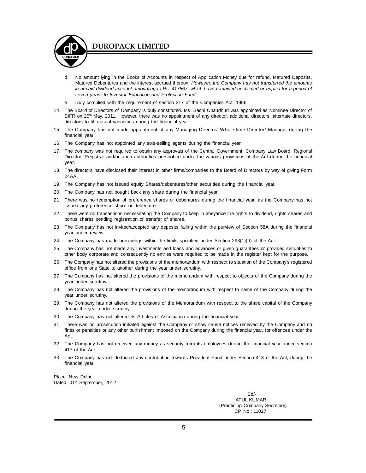

- d. No amount lying in the Books of Accounts in respect of Application Money due for refund, Matured Deposits, Matured Debentures and the interest accrued thereon. *However, the Company has not transferred the amounts in unpaid dividend account amounting to Rs. 417567, which have remained unclaimed or unpaid for a period of seven years to Investor Education and Protection Fund.*
- Duly complied with the requirement of section 217 of the Companies Act, 1956.
- 14. The Board of Directors of Company is duly constituted. Ms. Sachi Chaudhuri was appointed as Nominee Director of BIFR on 25<sup>th</sup> May, 2011. However, there was no appointment of any director, additional directors, alternate directors, directors to fill casual vacancies during the financial year.
- 15. The Company has not made appointment of any Managing Director/ Whole-time Director/ Manager during the financial year.
- 16. The Company has not appointed any sole-selling agents during the financial year.
- 17. The company was not required to obtain any approvals of the Central Government, Company Law Board, Regional Director, Registrar and/or such authorities prescribed under the various provisions of the Act during the financial year.
- 18. The directors have disclosed their interest in other firms/companies to the Board of Directors by way of giving Form 24AA.
- 19. The Company has not issued equity Shares/debentures/other securities during the financial year.
- 20. The Company has not bought back any share during the financial year.
- 21. There was no redemption of preference shares or debentures during the financial year, as the Company has not issued any preference share or debenture.
- 22. There were no transactions necessitating the Company to keep in abeyance the rights to dividend, rights shares and bonus shares pending registration of transfer of shares.
- 23. The Company has not invited/accepted any deposits falling within the purview of Section 58A during the financial year under review.
- 24. The Company has made borrowings within the limits specified under Section 293(1)(d) of the Act.
- 25. The Company has not made any Investments and loans and advances or given guarantees or provided securities to other body corporate and consequently no entries were required to be made in the register kept for the purpose.
- 26. The Company has not altered the provisions of the memorandum with respect to situation of the Company's registered office from one State to another during the year under scrutiny.
- 27. The Company has not altered the provisions of the memorandum with respect to objects of the Company during the year under scrutiny.
- 28. The Company has not altered the provisions of the memorandum with respect to name of the Company during the year under scrutiny.
- 29. The Company has not altered the provisions of the Memorandum with respect to the share capital of the Company during the year under scrutiny.
- 30. The Company has not altered its Articles of Association during the financial year.
- 31. There was no prosecution initiated against the Company or show cause notices received by the Company and no fines or penalties or any other punishment imposed on the Company during the financial year, for offences under the Act.
- 32. The Company has not received any money as security from its employees during the financial year under section 417 of the Act.
- 33. The Company has not deducted any contribution towards Provident Fund under Section 418 of the Act, during the financial year.

Place: New Delhi Dated: 01<sup>st</sup> September, 2012

> Sd/- ATUL KUMAR (Practicing Company Secretary) CP. No.: 11027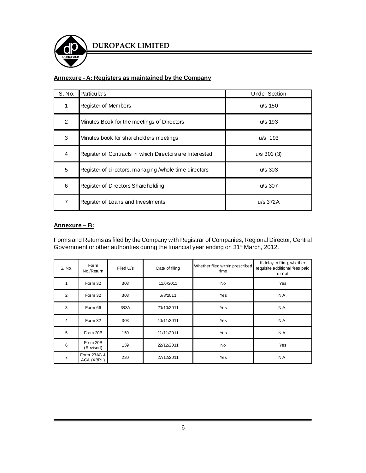

## **Annexure - A: Registers as maintained by the Company**

| S. No.        | Particulars                                             | <b>Under Section</b> |
|---------------|---------------------------------------------------------|----------------------|
| 1             | Register of Members                                     | $u/s$ 150            |
| $\mathcal{P}$ | Minutes Book for the meetings of Directors              | u/s 193              |
| 3             | Minutes book for shareholders meetings                  | $u/s$ 193            |
| 4             | Register of Contracts in which Directors are Interested | $u/s$ 301 (3)        |
| 5             | Register of directors, managing /whole time directors   | $u/s$ 303            |
| 6             | Register of Directors Shareholding                      | $u/s$ 307            |
| 7             | Register of Loans and Investments                       | $u/s$ 372A           |

#### **Annexure – B:**

Forms and Returns as filed by the Company with Registrar of Companies, Regional Director, Central Government or other authorities during the financial year ending on 31st March, 2012.

| S. No.         | Form<br>No./Return        | Filed U/s | Date of filing | Whether filed within prescribed<br>time | If delay in filing, whether<br>requisite additional fees paid<br>or not |
|----------------|---------------------------|-----------|----------------|-----------------------------------------|-------------------------------------------------------------------------|
| 1              | Form 32                   | 303       | 11/6/2011      | <b>No</b>                               | Yes                                                                     |
| $\overline{2}$ | Form 32                   | 303       | 6/8/2011       | Yes                                     | NA.                                                                     |
| 3              | Form 66                   | 383A      | 20/10/2011     | Yes                                     | NA.                                                                     |
| 4              | Form 32                   | 303       | 10/11/2011     | Yes                                     | NA.                                                                     |
| 5              | Form 20B                  | 159       | 11/11/2011     | Yes                                     | NA.                                                                     |
| 6              | Form 20B<br>(Revised)     | 159       | 22/12/2011     | <b>No</b>                               | Yes                                                                     |
| $\overline{7}$ | Form 23AC &<br>ACA (XBRL) | 220       | 27/12/2011     | Yes                                     | NA.                                                                     |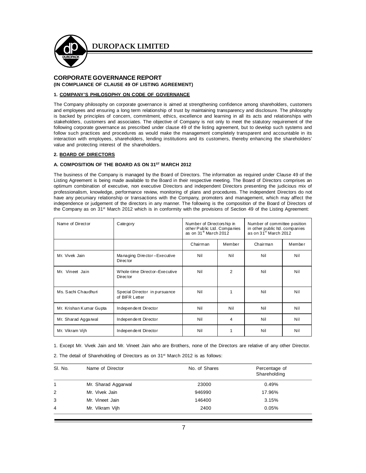

#### **CORPORATE GOVERNANCE REPORT (IN COMPLIANCE OF CLAUSE 49 OF LISTING AGREEMENT)**

#### **1. COMPANY'S PHILOSOPHY ON CODE OF GOVERNANCE**

The Company philosophy on corporate governance is aimed at strengthening confidence among shareholders, customers and employees and ensuring a long term relationship of trust by maintaining transparency and disclosure. The philosophy is backed by principles of concern, commitment, ethics, excellence and learning in all its acts and relationships with stakeholders, customers and associates. The objective of Company is not only to meet the statutory requirement of the following corporate governance as prescribed under clause 49 of the listing agreement, but to develop such systems and follow such practices and procedures as would make the management completely transparent and accountable in its interaction with employees, shareholders, lending institutions and its customers, thereby enhancing the shareholders' value and protecting interest of the shareholders.

#### **2. BOARD OF DIRECTORS**

#### **A. COMPOSITION OF THE BOARD AS ON 31ST MARCH 2012**

The business of the Company is managed by the Board of Directors. The information as required under Clause 49 of the Listing Agreement is being made available to the Board in their respective meeting. The Board of Directors comprises an optimum combination of executive, non executive Directors and independent Directors presenting the judicious mix of professionalism, knowledge, performance review, monitoring of plans and procedures. The independent Directors do not have any pecuniary relationship or transactions with the Company, promoters and management, which may affect the independence or judgement of the directors in any manner. The following is the composition of the Board of Directors of the Company as on 31st March 2012 which is in conformity with the provisions of Section 49 of the Listing Agreement:

| Name of Director        | Category                                         | Number of Directorship in<br>other Public Ltd. Companies<br>as on 31 $\mathrm{st}$ March 2012 |        | Number of committee position<br>in other public ltd. companies<br>as on 31 <sup>st</sup> March 2012 |        |
|-------------------------|--------------------------------------------------|-----------------------------------------------------------------------------------------------|--------|-----------------------------------------------------------------------------------------------------|--------|
|                         |                                                  | Chairman                                                                                      | Member | Chairman                                                                                            | Member |
| Mr. Vivek Jain          | Managing Director-Executive<br><b>Director</b>   | Nil                                                                                           | Nil    | Nil                                                                                                 | Nil    |
| Mr. Vineet Jain         | Whole-time Director-Executive<br><b>Director</b> | Nil                                                                                           | 2      | Nil                                                                                                 | Nil    |
| Ms. Sachi Chaudhuri     | Special Director in pursuance<br>of BIFR Letter  | Nil                                                                                           | 1      | Nil                                                                                                 | Nil    |
| Mr. Krishan Kumar Gupta | Independent Director                             | Nil                                                                                           | Nil    | Nil                                                                                                 | Nil    |
| Mr. Sharad Aggarwal     | Independent Director                             | Nil                                                                                           | 4      | Nil                                                                                                 | Nil    |
| Mr. Vikram Vijh         | Independent Director                             | Nil                                                                                           | 1      | Nil                                                                                                 | Nil    |

1. Except Mr. Vivek Jain and Mr. Vineet Jain who are Brothers, none of the Directors are relative of any other Director. 2. The detail of Shareholding of Directors as on 31<sup>st</sup> March 2012 is as follows:

| SI. No.        | Name of Director    | No. of Shares | Percentage of<br>Shareholding |
|----------------|---------------------|---------------|-------------------------------|
| 1              | Mr. Sharad Aggarwal | 23000         | 0.49%                         |
| 2              | Mr. Vivek Jain      | 946990        | 17.96%                        |
| 3              | Mr. Vineet Jain     | 146400        | 3.15%                         |
| $\overline{4}$ | Mr. Vikram Vijh     | 2400          | 0.05%                         |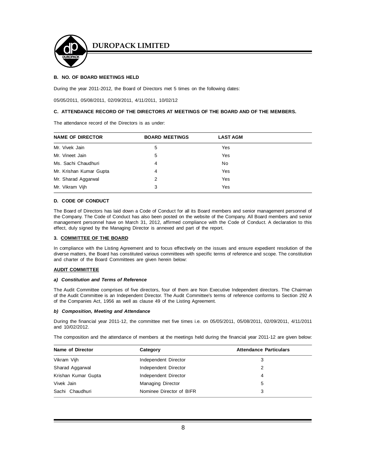

#### **B. NO. OF BOARD MEETINGS HELD**

During the year 2011-2012, the Board of Directors met 5 times on the following dates:

05/05/2011, 05/08/2011, 02/09/2011, 4/11/2011, 10/02/12

#### **C. ATTENDANCE RECORD OF THE DIRECTORS AT MEETINGS OF THE BOARD AND OF THE MEMBERS.**

The attendance record of the Directors is as under:

| <b>NAME OF DIRECTOR</b> | <b>BOARD MEETINGS</b> | <b>LAST AGM</b> |  |
|-------------------------|-----------------------|-----------------|--|
| Mr. Vivek Jain          | 5                     | Yes             |  |
| Mr. Vineet Jain         | 5                     | Yes             |  |
| Ms. Sachi Chaudhuri     | 4                     | No.             |  |
| Mr. Krishan Kumar Gupta | 4                     | Yes             |  |
| Mr. Sharad Aggarwal     | 2                     | Yes             |  |
| Mr. Vikram Vijh         | 3                     | Yes             |  |

#### **D. CODE OF CONDUCT**

The Board of Directors has laid down a Code of Conduct for all its Board members and senior management personnel of the Company. The Code of Conduct has also been posted on the website of the Company. All Board members and senior management personnel have on March 31, 2012, affirmed compliance with the Code of Conduct. A declaration to this effect, duly signed by the Managing Director is annexed and part of the report.

#### **3. COMMITTEE OF THE BOARD**

In compliance with the Listing Agreement and to focus effectively on the issues and ensure expedient resolution of the diverse matters, the Board has constituted various committees with specific terms of reference and scope. The constitution and charter of the Board Committees are given herein below:

#### **AUDIT COMMITTEE**

#### *a) Constitution and Terms of Reference*

The Audit Committee comprises of five directors, four of them are Non Executive Independent directors. The Chairman of the Audit Committee is an Independent Director. The Audit Committee's terms of reference conforms to Section 292 A of the Companies Act, 1956 as well as clause 49 of the Listing Agreement.

#### *b) Composition, Meeting and Attendance*

During the financial year 2011-12, the committee met five times i.e. on 05/05/2011, 05/08/2011, 02/09/2011, 4/11/2011 and 10/02/2012.

The composition and the attendance of members at the meetings held during the financial year 2011-12 are given below:

| Name of Director    | Category                 | <b>Attendance Particulars</b> |
|---------------------|--------------------------|-------------------------------|
| Vikram Vijh         | Independent Director     | 3                             |
| Sharad Aggarwal     | Independent Director     | 2                             |
| Krishan Kumar Gupta | Independent Director     | 4                             |
| Vivek Jain          | <b>Managing Director</b> | 5                             |
| Sachi Chaudhuri     | Nominee Director of BIFR | 3                             |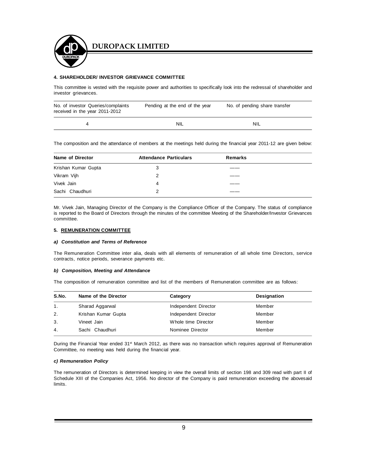

#### **4. SHAREHOLDER/ INVESTOR GRIEVANCE COMMITTEE**

This committee is vested with the requisite power and authorities to specifically look into the redressal of shareholder and investor grievances.

| No. of investor Queries/complaints<br>received in the year 2011-2012 | Pending at the end of the year | No. of pending share transfer |
|----------------------------------------------------------------------|--------------------------------|-------------------------------|
|                                                                      | NIL                            | <b>NIL</b>                    |

The composition and the attendance of members at the meetings held during the financial year 2011-12 are given below:

| Name of Director    | <b>Attendance Particulars</b> | Remarks |  |
|---------------------|-------------------------------|---------|--|
| Krishan Kumar Gupta | 3                             |         |  |
| Vikram Vijh         | 2                             |         |  |
| Vivek Jain          | 4                             |         |  |
| Sachi Chaudhuri     | 2                             |         |  |

Mr. Vivek Jain, Managing Director of the Company is the Compliance Officer of the Company. The status of compliance is reported to the Board of Directors through the minutes of the committee Meeting of the Shareholder/Investor Grievances committee.

#### **5. REMUNERATION COMMITTEE**

#### *a) Constitution and Terms of Reference*

The Remuneration Committee inter alia, deals with all elements of remuneration of all whole time Directors, service contracts, notice periods, severance payments etc.

#### *b) Composition, Meeting and Attendance*

The composition of remuneration committee and list of the members of Remuneration committee are as follows:

| S.No.          | Name of the Director | Category             | Designation |
|----------------|----------------------|----------------------|-------------|
| 1 <sub>1</sub> | Sharad Aggarwal      | Independent Director | Member      |
| 2.             | Krishan Kumar Gupta  | Independent Director | Member      |
| 3.             | Vineet Jain          | Whole time Director  | Member      |
| 4.             | Sachi Chaudhuri      | Nominee Director     | Member      |

During the Financial Year ended 31<sup>st</sup> March 2012, as there was no transaction which requires approval of Remuneration Committee, no meeting was held during the financial year.

#### *c) Remuneration Policy*

The remuneration of Directors is determined keeping in view the overall limits of section 198 and 309 read with part II of Schedule XIII of the Companies Act, 1956. No director of the Company is paid remuneration exceeding the abovesaid limits.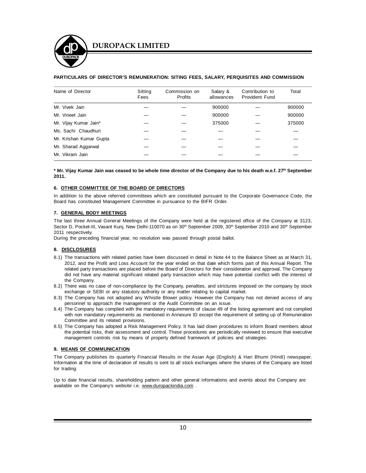#### **PARTICULARS OF DIRECTOR'S REMUNERATION: SITING FEES, SALARY, PERQUISITES AND COMMISSION**

| Name of Director        | Sitting<br>Fees | Commission on<br>Profits | Salary &<br>allowances | Contribution to<br>Provident Fund | Total  |
|-------------------------|-----------------|--------------------------|------------------------|-----------------------------------|--------|
| Mr. Vivek Jain          |                 |                          | 900000                 |                                   | 900000 |
| Mr. Vineet Jain         |                 |                          | 900000                 |                                   | 900000 |
| Mr. Vijay Kumar Jain*   |                 |                          | 375000                 |                                   | 375000 |
| Ms. Sachi Chaudhuri     |                 |                          |                        |                                   |        |
| Mr. Krishan Kumar Gupta |                 |                          |                        |                                   |        |
| Mr. Sharad Aggarwal     |                 |                          |                        |                                   |        |
| Mr. Vikram Jain         |                 |                          |                        |                                   |        |

**\* Mr. Vijay Kumar Jain was ceased to be whole time director of the Company due to his death w.e.f. 27 th September 2011.**

#### **6. OTHER COMMITTEE OF THE BOARD OF DIRECTORS**

In addition to the above referred committees which are constituted pursuant to the Corporate Governance Code, the Board has constituted Management Committee in pursuance to the BIFR Order.

#### **7. GENERAL BODY MEETINGS**

The last three Annual General Meetings of the Company were held at the registered office of the Company at 3123, Sector D, Pocket-III, Vasant Kunj, New Delhi-110070 as on 30<sup>th</sup> September 2009, 30<sup>th</sup> September 2010 and 30<sup>th</sup> September 2011 respectively.

During the preceding financial year, no resolution was passed through postal ballot.

#### **8. DISCLOSURES**

- 8.1) The transactions with related parties have been discussed in detail in Note 44 to the Balance Sheet as at March 31, 2012, and the Profit and Loss Account for the year ended on that date which forms part of this Annual Report. The related party transactions are placed before the Board of Directors for their consideration and approval. The Company did not have any material significant related party transaction which may have potential conflict with the interest of the Company.
- 8.2) There was no case of non-compliance by the Company, penalties, and strictures imposed on the company by stock exchange or SEBI or any statutory authority or any matter relating to capital market.
- 8.3) The Company has not adopted any Whistle Blower policy. However the Company has not denied access of any personnel to approach the management or the Audit Committee on an issue.
- 8.4) The Company has complied with the mandatory requirements of clause 49 of the listing agreement and not complied with non mandatory requirements as mentioned in Annexure ID except the requirement of setting up of Remuneration Committee and its related provisions.
- 8.5) The Company has adopted a Risk Management Policy. It has laid down procedures to inform Board members about the potential risks, their assessment and control. These procedures are periodically reviewed to ensure that executive management controls risk by means of properly defined framework of policies and strategies.

#### **9. MEANS OF COMMUNICATION**

The Company publishes its quarterly Financial Results in the Asian Age (English) & Hari Bhumi (Hindi) newspaper. Information at the time of declaration of results is sent to all stock exchanges where the shares of the Company are listed for trading.

Up to date financial results, shareholding pattern and other general informations and events about the Company are available on the Company's website i.e. www.duropackindia.com.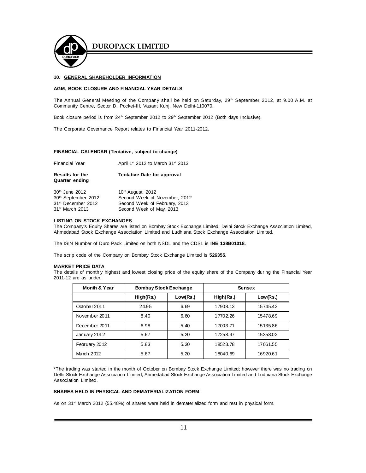

#### **10. GENERAL SHAREHOLDER INFORMATION**

#### **AGM, BOOK CLOSURE AND FINANCIAL YEAR DETAILS**

The Annual General Meeting of the Company shall be held on Saturday, 29<sup>th</sup> September 2012, at 9.00 A.M. at Community Centre, Sector D, Pocket-III, Vasant Kunj, New Delhi-110070.

Book closure period is from 24<sup>th</sup> September 2012 to 29<sup>th</sup> September 2012 (Both days Inclusive).

The Corporate Governance Report relates to Financial Year 2011-2012.

#### **FINANCIAL CALENDAR (Tentative, subject to change)**

| <b>Financial Year</b>                                                                                                          | April 1 <sup>st</sup> 2012 to March 31 <sup>st</sup> 2013                                                                   |
|--------------------------------------------------------------------------------------------------------------------------------|-----------------------------------------------------------------------------------------------------------------------------|
| <b>Results for the</b><br><b>Quarter ending</b>                                                                                | <b>Tentative Date for approval</b>                                                                                          |
| 30 <sup>th</sup> June 2012<br>30 <sup>th</sup> September 2012<br>31 <sup>st</sup> December 2012<br>31 <sup>st</sup> March 2013 | 10 <sup>th</sup> August, 2012<br>Second Week of November, 2012<br>Second Week of February, 2013<br>Second Week of May, 2013 |

#### **LISTING ON STOCK EXCHANGES**

The Company's Equity Shares are listed on Bombay Stock Exchange Limited, Delhi Stock Exchange Association Limited, Ahmedabad Stock Exchange Association Limited and Ludhiana Stock Exchange Association Limited.

The ISIN Number of Duro Pack Limited on both NSDL and the CDSL is **INE 138B01018.**

The scrip code of the Company on Bombay Stock Exchange Limited is **526355.**

#### **MARKET PRICE DATA**

The details of monthly highest and lowest closing price of the equity share of the Company during the Financial Year 2011-12 are as under:

| Month & Year  | <b>Bombay Stock Exchange</b> |          | Sensex    |          |
|---------------|------------------------------|----------|-----------|----------|
|               | High(Rs.)                    | Low(Rs.) | High(Rs.) | Low(Rs.) |
| October 2011  | 24.95                        | 6.69     | 17908.13  | 15745.43 |
| November 2011 | 8.40                         | 6.60     | 17702.26  | 15478.69 |
| December 2011 | 6.98                         | 5.40     | 17003.71  | 15135.86 |
| January 2012  | 5.67                         | 5.20     | 17258.97  | 15358.02 |
| February 2012 | 5.83                         | 5.30     | 18523.78  | 17061.55 |
| March 2012    | 5.67                         | 5.20     | 18040.69  | 16920.61 |

\*The trading was started in the month of October on Bombay Stock Exchange Limited; however there was no trading on Delhi Stock Exchange Association Limited, Ahmedabad Stock Exchange Association Limited and Ludhiana Stock Exchange Association Limited.

#### **SHARES HELD IN PHYSICAL AND DEMATERIALIZATION FORM**:

As on 31st March 2012 (55.48%) of shares were held in dematerialized form and rest in physical form.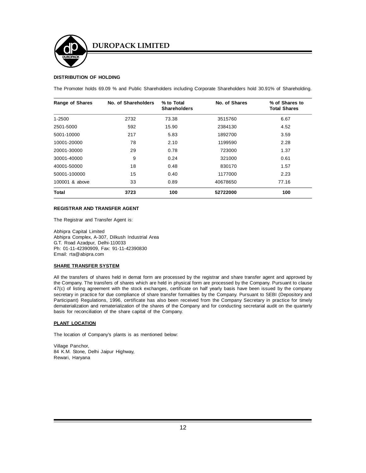

#### **DISTRIBUTION OF HOLDING**

The Promoter holds 69.09 % and Public Shareholders including Corporate Shareholders hold 30.91% of Shareholding.

| <b>Range of Shares</b> | No. of Shareholders | % to Total<br><b>Shareholders</b> | No. of Shares | % of Shares to<br><b>Total Shares</b> |
|------------------------|---------------------|-----------------------------------|---------------|---------------------------------------|
| $1 - 2500$             | 2732                | 73.38                             | 3515760       | 6.67                                  |
| 2501-5000              | 592                 | 15.90                             | 2384130       | 4.52                                  |
| 5001-10000             | 217                 | 5.83                              | 1892700       | 3.59                                  |
| 10001-20000            | 78                  | 2.10                              | 1199590       | 2.28                                  |
| 20001-30000            | 29                  | 0.78                              | 723000        | 1.37                                  |
| 30001-40000            | 9                   | 0.24                              | 321000        | 0.61                                  |
| 40001-50000            | 18                  | 0.48                              | 830170        | 1.57                                  |
| 50001-100000           | 15                  | 0.40                              | 1177000       | 2.23                                  |
| 100001 & above         | 33                  | 0.89                              | 40678650      | 77.16                                 |
| <b>Total</b>           | 3723                | 100                               | 52722000      | 100                                   |

#### **REGISTRAR AND TRANSFER AGENT**

The Registrar and Transfer Agent is:

Abhipra Capital Limited Abhipra Complex, A-307, Dilkush Industrial Area G.T. Road Azadpur, Delhi-110033 Ph: 01-11-42390909, Fax: 91-11-42390830 Email: rta@abipra.com

#### **SHARE TRANSFER SYSTEM**

All the transfers of shares held in demat form are processed by the registrar and share transfer agent and approved by the Company. The transfers of shares which are held in physical form are processed by the Company. Pursuant to clause 47(c) of listing agreement with the stock exchanges, certificate on half yearly basis have been issued by the company secretary in practice for due compliance of share transfer formalities by the Company. Pursuant to SEBI (Depository and Participant) Regulations, 1996, certificate has also been received from the Company Secretary in practice for timely dematerialization and rematerialization of the shares of the Company and for conducting secretarial audit on the quarterly basis for reconciliation of the share capital of the Company.

#### **PLANT LOCATION**

The location of Company's plants is as mentioned below:

Village Panchor, 84 K.M. Stone, Delhi Jaipur Highway, Rewari, Haryana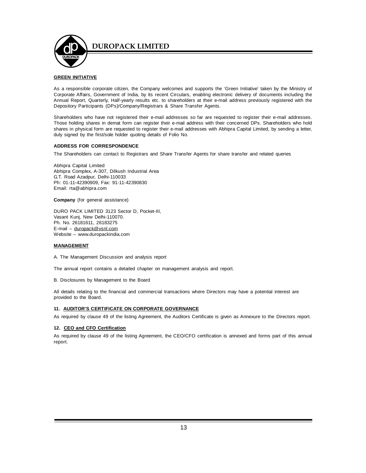

#### **GREEN INITIATIVE**

As a responsible corporate citizen, the Company welcomes and supports the 'Green Initiative' taken by the Ministry of Corporate Affairs, Government of India, by its recent Circulars, enabling electronic delivery of documents including the Annual Report, Quarterly, Half-yearly results etc. to shareholders at their e-mail address previously registered with the Depository Participants (DPs)/Company/Registrars & Share Transfer Agents.

Shareholders who have not registered their e-mail addresses so far are requested to register their e-mail addresses. Those holding shares in demat form can register their e-mail address with their concerned DPs. Shareholders who hold shares in physical form are requested to register their e-mail addresses with Abhipra Capital Limited, by sending a letter, duly signed by the first/sole holder quoting details of Folio No.

#### **ADDRESS FOR CORRESPONDENCE**

The Shareholders can contact to Registrars and Share Transfer Agents for share transfer and related queries

Abhipra Capital Limited Abhipra Complex, A-307, Dilkush Industrial Area G.T. Road Azadpur, Delhi-110033 Ph: 01-11-42390909, Fax: 91-11-42390830 Email: rta@abhipra.com

**Company** (for general assistance)

DURO PACK LIMITED 3123 Sector D, Pocket-III, Vasant Kunj, New Delhi-110070. Ph. No. 26181611, 26183275 E-mail – duropack@vsnl.com Website – www.duropackindia.com

#### **MANAGEMENT**

A. The Management Discussion and analysis report

The annual report contains a detailed chapter on management analysis and report.

B. Disclosures by Management to the Board

All details relating to the financial and commercial transactions where Directors may have a potential interest are provided to the Board.

#### **11. AUDITOR'S CERTIFICATE ON CORPORATE GOVERNANCE**

As required by clause 49 of the listing Agreement, the Auditors Certificate is given as Annexure to the Directors report.

#### **12. CEO and CFO Certification**

As required by clause 49 of the listing Agreement, the CEO/CFO certification is annexed and forms part of this annual report.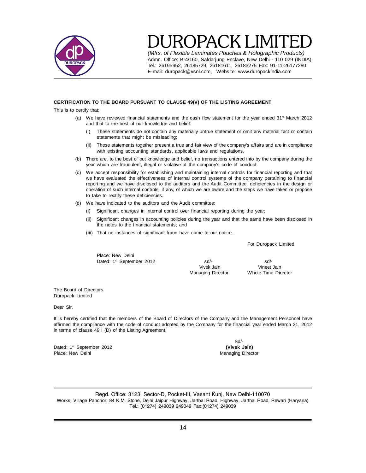

*(Mfrs. of Flexible Laminates Pouches & Holographic Products)* Admn. Office: B-4/160, Safdarjung Enclave, New Delhi - 110 029 (INDIA) Tel.: 26195952, 26185729, 26181611, 26183275 Fax: 91-11-26177280 E-mail: duropack@vsnl.com, Website: www.duropackindia.com

#### **CERTIFICATION TO THE BOARD PURSUANT TO CLAUSE 49(V) OF THE LISTING AGREEMENT**

This is to certify that:

- (a) We have reviewed financial statements and the cash flow statement for the year ended  $31^{st}$  March 2012 and that to the best of our knowledge and belief:
	- (i) These statements do not contain any materially untrue statement or omit any material fact or contain statements that might be misleading;
	- (ii) These statements together present a true and fair view of the company's affairs and are in compliance with existing accounting standards, applicable laws and regulations.
- (b) There are, to the best of out knowledge and belief, no transactions entered into by the company during the year which are fraudulent, illegal or violative of the company's code of conduct.
- (c) We accept responsibility for establishing and maintaining internal controls for financial reporting and that we have evaluated the effectiveness of internal control systems of the company pertaining to financial reporting and we have disclosed to the auditors and the Audit Committee, deficiencies in the design or operation of such internal controls, if any, of which we are aware and the steps we have taken or propose to take to rectify these deficiencies.
- (d) We have indicated to the auditors and the Audit committee:
	- (i) Significant changes in internal control over financial reporting during the year;
	- (ii) Significant changes in accounting policies during the year and that the same have been disclosed in the notes to the financial statements; and
	- (iii) That no instances of significant fraud have came to our notice.

For Duropack Limited

Place: New Delhi

Dated: 1<sup>st</sup> September 2012 **sd/-** sd/-<br>Vivek Jain **Start September 2012** Sd/- Since School School School School School School School School School School School School School School School School School School School Scho Vivek Jain Vineet Jain

Managing Director Whole Time Director

The Board of Directors Duropack Limited

Dear Sir,

It is hereby certified that the members of the Board of Directors of the Company and the Management Personnel have affirmed the compliance with the code of conduct adopted by the Company for the financial year ended March 31, 2012 in terms of clause 49 I (D) of the Listing Agreement.

Dated: 1st September 2012 **(Vivek Jain)** Place: New Delhi Managing Director New York 2012 19:00 Managing Director

Sd/-

Regd. Office: 3123, Sector-D, Pocket-III, Vasant Kunj, New Delhi-110070 Works: Village Panchor, 84 K.M. Stone, Delhi Jaipur Highway, Jarthal Road, Highway, Jarthal Road, Rewari (Haryana) Tel.: (01274) 249039 249049 Fax:(01274) 249039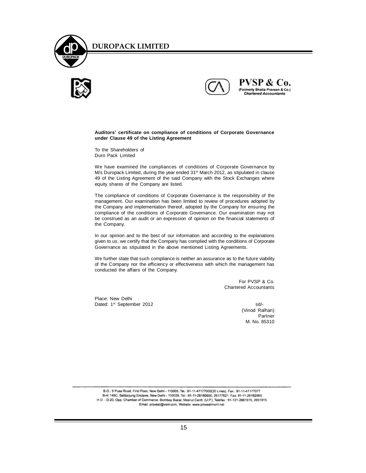





PVSP & Co. (Formerly Bhatia Praveen & Co.)<br>Chartered Accountants

#### **Auditors' certificate on compliance of conditions of Corporate Governance under Clause 49 of the Listing Agreement**

To the Shareholders of Duro Pack Limited

We have examined the compliances of conditions of Corporate Governance by M/s Duropack Limited, during the year ended 31<sup>st</sup> March 2012, as stipulated in clause 49 of the Listing Agreement of the said Company with the Stock Exchanges where equity shares of the Company are listed.

The compliance of conditions of Corporate Governance is the responsibility of the management. Our examination has been limited to review of procedures adopted by the Company and implementation thereof, adopted by the Company for ensuring the compliance of the conditions of Corporate Governance. Our examination may not be construed as an audit or an expression of opinion on the financial statements of the Company.

In our opinion and to the best of our information and according to the explanations given to us, we certify that the Company has complied with the conditions of Corporate Governance as stipulated in the above mentioned Listing Agreements.

We further state that such compliance is neither an assurance as to the future viability of the Company nor the efficiency or effectiveness with which the management has conducted the affairs of the Company.

> For PVSP & Co. Chartered Accountants

Place: New Delhi Dated: 1<sup>st</sup> September 2012 sd/-

(Vinod Ralhan) **Partner** M. No. 85310

B.O.: 5 Pusa Road, First Floor, New Delhi - 110005, Tel.: 91-11-47177000(30 Lines), Fax.: 91-11-47177077 B-4/ 148C, Safdarjung Enclave, New Delhi - 110029, Tel.: 91-11-26160650, 26177621, Fax: 91-11-26162865 H.O.: D-20, Opp. Chamber of Commerce, Bombay Bazar, Meerut Cantt. (U.P.), Telefax: 91-121-2661915, 2651915 Email: provest@vsnl.com, Website: www.provestment.net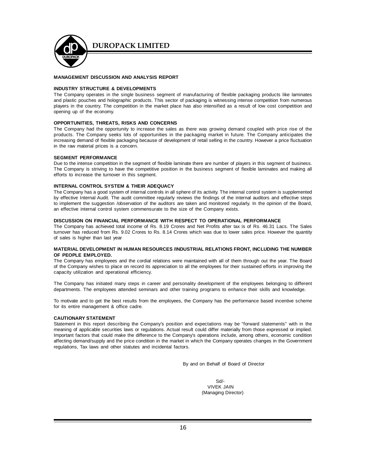

#### **MANAGEMENT DISCUSSION AND ANALYSIS REPORT**

#### **INDUSTRY STRUCTURE & DEVELOPMENTS**

The Company operates in the single business segment of manufacturing of flexible packaging products like laminates and plastic pouches and holographic products. This sector of packaging is witnessing intense competition from numerous players in the country. The competition in the market place has also intensified as a result of low cost competition and opening up of the economy.

#### **OPPORTUNITIES, THREATS, RISKS AND CONCERNS**

The Company had the opportunity to increase the sales as there was growing demand coupled with price rise of the products. The Company seeks lots of opportunities in the packaging market in future. The Company anticipates the increasing demand of flexible packaging because of development of retail selling in the country. However a price fluctuation in the raw material prices is a concern.

#### **SEGMENT PERFORMANCE**

Due to the intense competition in the segment of flexible laminate there are number of players in this segment of business. The Company is striving to have the competitive position in the business segment of flexible laminates and making all efforts to increase the turnover in this segment.

#### **INTERNAL CONTROL SYSTEM & THEIR ADEQUACY**

The Company has a good system of internal controls in all sphere of its activity. The internal control system is supplemented by effective Internal Audit. The audit committee regularly reviews the findings of the internal auditors and effective steps to implement the suggestion /observation of the auditors are taken and monitored regularly. In the opinion of the Board, an effective internal control system commensurate to the size of the Company exists.

#### **DISCUSSION ON FINANCIAL PERFORMANCE WITH RESPECT TO OPERATIONAL PERFORMANCE**

The Company has achieved total income of Rs. 8.19 Crores and Net Profits after tax is of Rs. 46.31 Lacs. The Sales turnover has reduced from Rs. 9.02 Crores to Rs. 8.14 Crores which was due to lower sales price. However the quantity of sales is higher than last year

#### **MATERIAL DEVELOPMENT IN HUMAN RESOURCES /INDUSTRIAL RELATIONS FRONT, INCLUDING THE NUMBER OF PEOPLE EMPLOYED.**

The Company has employees and the cordial relations were maintained with all of them through out the year. The Board of the Company wishes to place on record its appreciation to all the employees for their sustained efforts in improving the capacity utilization and operational efficiency.

The Company has initiated many steps in career and personality development of the employees belonging to different departments. The employees attended seminars and other training programs to enhance their skills and knowledge.

To motivate and to get the best results from the employees, the Company has the performance based incentive scheme for its entire management & office cadre.

#### **CAUTIONARY STATEMENT**

Statement in this report describing the Company's position and expectations may be "forward statements" with in the meaning of applicable securities laws or regulations. Actual result could differ materially from those expressed or implied. Important factors that could make the difference to the Company's operations include, among others, economic condition affecting demand/supply and the price condition in the market in which the Company operates changes in the Government regulations, Tax laws and other statutes and incidental factors.

By and on Behalf of Board of Director

 Sd/- VIVEK JAIN (Managing Director)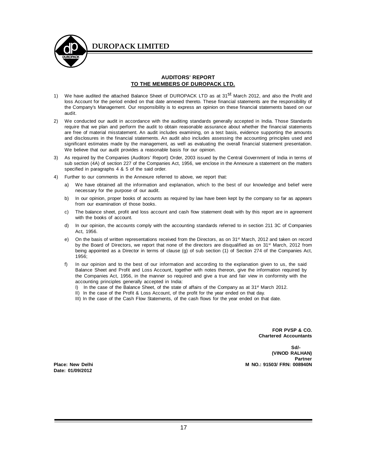

#### **AUDITORS' REPORT TO THE MEMBERS OF DUROPACK LTD.**

- 1) We have audited the attached Balance Sheet of DUROPACK LTD as at 31<sup>st</sup> March 2012, and also the Profit and loss Account for the period ended on that date annexed thereto. These financial statements are the responsibility of the Company's Management. Our responsibility is to express an opinion on these financial statements based on our audit.
- 2) We conducted our audit in accordance with the auditing standards generally accepted in India. Those Standards require that we plan and perform the audit to obtain reasonable assurance about whether the financial statements are free of material misstatement. An audit includes examining, on a test basis, evidence supporting the amounts and disclosures in the financial statements. An audit also includes assessing the accounting principles used and significant estimates made by the management, as well as evaluating the overall financial statement presentation. We believe that our audit provides a reasonable basis for our opinion.
- 3) As required by the Companies (Auditors' Report) Order, 2003 issued by the Central Government of India in terms of sub section (4A) of section 227 of the Companies Act, 1956, we enclose in the Annexure a statement on the matters specified in paragraphs 4 & 5 of the said order.
- 4) Further to our comments in the Annexure referred to above, we report that:
	- a) We have obtained all the information and explanation, which to the best of our knowledge and belief were necessary for the purpose of our audit.
	- b) In our opinion, proper books of accounts as required by law have been kept by the company so far as appears from our examination of those books.
	- c) The balance sheet, profit and loss account and cash flow statement dealt with by this report are in agreement with the books of account.
	- d) In our opinion, the accounts comply with the accounting standards referred to in section 211 3C of Companies Act, 1956.
	- e) On the basis of written representations received from the Directors, as on 31<sup>st</sup> March, 2012 and taken on record by the Board of Directors, we report that none of the directors are disqualified as on 31<sup>st</sup> March, 2012 from being appointed as a Director in terms of clause (g) of sub section (1) of Section 274 of the Companies Act, 1956;
	- f) In our opinion and to the best of our information and according to the explanation given to us, the said Balance Sheet and Profit and Loss Account, together with notes thereon, give the information required by the Companies Act, 1956, in the manner so required and give a true and fair view in conformity with the accounting principles generally accepted in India:
		- I) In the case of the Balance Sheet, of the state of affairs of the Company as at  $31^{st}$  March 2012.
		- II) In the case of the Profit & Loss Account, of the profit for the year ended on that day.
		- III) In the case of the Cash Flow Statements, of the cash flows for the year ended on that date.

**FOR PVSP & CO. Chartered Accountants**

**Sd/- (VINOD RALHAN) Partner Place: New Delhi M NO.: 91503/ FRN: 008940N**

**Date: 01/09/2012**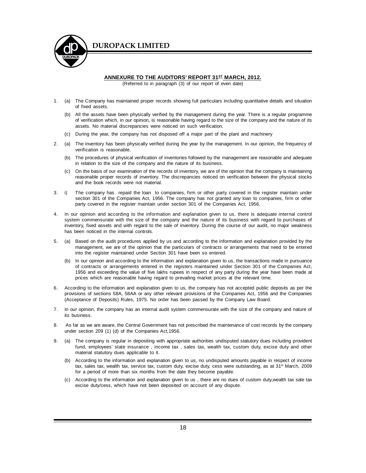

#### **ANNEXURE TO THE AUDITORS' REPORT 31ST MARCH, 2012.**

(Referred to in paragraph (3) of our report of even date)

- 1. (a) The Company has maintained proper records showing full particulars including quantitative details and situation of fixed assets.
	- (b) All the assets have been physically verified by the management during the year. There is a regular programme of verification which, in our opinion, is reasonable having regard to the size of the company and the nature of its assets. No material discrepancies were noticed on such verification.
	- (c) During the year, the company has not disposed off a major part of the plant and machinery
- 2. (a) The inventory has been physically verified during the year by the management. In our opinion, the frequency of verification is reasonable.
	- (b) The procedures of physical verification of inventories followed by the management are reasonable and adequate in relation to the size of the company and the nature of its business.
	- (c) On the basis of our examination of the records of inventory, we are of the opinion that the company is maintaining reasonable proper records of inventory. The discrepancies noticed on verification between the physical stocks and the book records were not material.
- 3. i) The company has repaid the loan to companies, firm or other party covered in the register maintain under section 301 of the Companies Act, 1956. The company has not granted any loan to companies, firm or other party covered in the register maintain under section 301 of the Companies Act, 1956.
- 4. In our opinion and according to the information and explanation given to us, there is adequate internal control system commensurate with the size of the company and the nature of its business with regard to purchases of inventory, fixed assets and with regard to the sale of inventory. During the course of our audit, no major weakness has been noticed in the internal controls.
- 5. (a) Based on the audit procedures applied by us and according to the information and explanation provided by the management, we are of the opinion that the particulars of contracts or arrangements that need to be entered into the register maintained under Section 301 have been so entered.
	- (b) In our opinion and according to the information and explanation given to us, the transactions made in pursuance of contracts or arrangements entered in the registers maintained under Section 301 of the Companies Act, 1956 and exceeding the value of five lakhs rupees in respect of any party during the year have been made at prices which are reasonable having regard to prevailing market prices at the relevant time.
- 6. According to the information and explanation given to us, the company has not accepted public deposits as per the provisions of sections 58A, 58AA or any other relevant provisions of the Companies Act, 1956 and the Companies (Acceptance of Deposits) Rules, 1975. No order has been passed by the Company Law Board.
- 7. In our opinion, the company has an internal audit system commensurate with the size of the company and nature of its business.
- 8. As far as we are aware, the Central Government has not prescribed the maintenance of cost records by the company under section 209 (1) (d) of the Companies Act,1956.
- 9. (a) The company is regular in depositing with appropriate authorities undisputed statutory dues including provident fund, employees' state insurance , income tax , sales tax, wealth tax, custom duty, excise duty and other material statutory dues applicable to it.
	- (b) According to the information and explanation given to us, no undisputed amounts payable in respect of income tax, sales tax, wealth tax, service tax, custom duty, excise duty, cess were outstanding, as at 31<sup>st</sup> March, 2009 for a period of more than six months from the date they become payable.
	- (c) According to the information and explanation given to us , there are no dues of custom duty,wealth tax sale tax excise duty/cess, which have not been deposited on account of any dispute.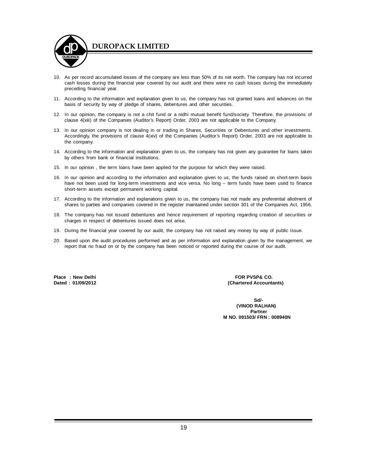

- 10. As per record accumulated losses of the company are less than 50% of its net worth. The company has not incurred cash losses during the financial year covered by our audit and there were no cash losses during the immediately preceding financial year.
- 11. According to the information and explanation given to us, the company has not granted loans and advances on the basis of security by way of pledge of shares, debentures and other securities.
- 12. In our opinion, the company is not a chit fund or a nidhi mutual benefit fund/society. Therefore, the provisions of clause 4(xiii) of the Companies (Auditor's Report) Order, 2003 are not applicable to the Company.
- 13. In our opinion company is not dealing in or trading in Shares, Securities or Debentures and other investments. Accordingly, the provisions of clause 4(xiv) of the Companies (Auditor's Report) Order, 2003 are not applicable to the company.
- 14. According to the information and explanation given to us, the company has not given any guarantee for loans taken by others from bank or financial institutions.
- 15. In our opinion , the term loans have been applied for the purpose for which they were raised.
- 16. In our opinion and according to the information and explanation given to us, the funds raised on short-term basis have not been used for long-term investments and vice versa. No long – term funds have been used to finance short-term assets except permanent working capital.
- 17. According to the information and explanations given to us, the company has not made any preferential allotment of shares to parties and companies covered in the register maintained under section 301 of the Companies Act, 1956.
- 18. The company has not issued debentures and hence requirement of reporting regarding creation of securities or charges in respect of debentures issued does not arise.
- 19. During the financial year covered by our audit, the company has not raised any money by way of public issue.
- 20. Based upon the audit procedures performed and as per information and explanation given by the management, we report that no fraud on or by the company has been noticed or reported during the course of our audit.

Place : New Delhi **Place : New Delhi Place : New Delhi** FOR PVSP& CO.<br>
Dated : 01/09/2012

(Chartered Accountants)

 **Sd/- (VINOD RALHAN) Partner M NO. 091503/ FRN : 008940N**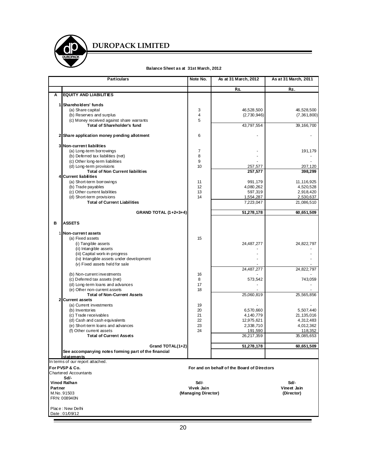

#### **Balance Sheet as at 31st March, 2012**

|         | <b>Particulars</b>                                               | Note No.            | As at 31 March, 2012                        | As at 31 March, 2011      |
|---------|------------------------------------------------------------------|---------------------|---------------------------------------------|---------------------------|
|         |                                                                  |                     | Rs.                                         | Rs.                       |
| Ā       | <b>EQUITY AND LIABILITIES</b>                                    |                     |                                             |                           |
|         |                                                                  |                     |                                             |                           |
|         | 1 Shareholders' funds                                            |                     |                                             |                           |
|         | (a) Share capital<br>(b) Reserves and surplus                    | 3<br>4              | 46,528,500                                  | 46,528,500<br>(7,361,800) |
|         | (c) Money received against share warrants                        | 5                   | (2,730,946)                                 |                           |
|         | <b>Total of Shareholder's fund</b>                               |                     | 43,797,554                                  | 39,166,700                |
|         |                                                                  |                     |                                             |                           |
|         | 2 Share application money pending allotment                      | 6                   |                                             |                           |
|         | 3 Non-current liabilities                                        |                     |                                             |                           |
|         | (a) Long-term borrowings                                         | 7                   |                                             | 191,179                   |
|         | (b) Deferred tax liabilities (net)                               | 8                   |                                             |                           |
|         | (c) Other long-term liabilities                                  | 9                   |                                             |                           |
|         | (d) Long-term provisions                                         | 10                  | 257,577                                     | 207,120                   |
|         | <b>Total of Non Current liabilities</b>                          |                     | 257,577                                     | 398,299                   |
|         | 4 Current liabilities                                            |                     |                                             |                           |
|         | (a) Short-term borrowings<br>(b) Trade payables                  | 11<br>12            | 991,179<br>4,080,262                        | 11, 116, 925<br>4,520,528 |
|         | (c) Other current liabilities                                    | 13                  | 597,319                                     | 2,918,420                 |
|         | (d) Short-term provisions                                        | 14                  | 1,554,287                                   | 2,530,637                 |
|         | <b>Total of Current Liabilities</b>                              |                     | 7,223,047                                   | 21,086,510                |
|         |                                                                  |                     |                                             |                           |
|         | <b>GRAND TOTAL (1+2+3+4)</b>                                     |                     | 51,278,178                                  | 60,651,509                |
| в       | <b>ASSETS</b>                                                    |                     |                                             |                           |
|         | 1 Non-current assets                                             |                     |                                             |                           |
|         | (a) Fixed assets                                                 | 15                  |                                             |                           |
|         | (i) Tangible assets                                              |                     | 24,487,277                                  | 24,822,797                |
|         | (ii) Intangible assets                                           |                     |                                             |                           |
|         | (iii) Capital work-in-progress                                   |                     |                                             |                           |
|         | (iv) Intangible assets under development                         |                     |                                             |                           |
|         | (v) Fixed assets held for sale                                   |                     |                                             |                           |
|         |                                                                  |                     | 24,487,277                                  | 24,822,797                |
|         | (b) Non-current investments                                      | 16                  |                                             |                           |
|         | (c) Deferred tax assets (net)                                    | 8                   | 573,542                                     | 743,059                   |
|         | (d) Long-term loans and advances<br>(e) Other non-current assets | 17<br>18            |                                             |                           |
|         | <b>Total of Non-Current Assets</b>                               |                     | 25,060,819                                  | 25,565,856                |
|         | 2 Current assets                                                 |                     |                                             |                           |
|         | (a) Current investments                                          | 19                  |                                             |                           |
|         | (b) Inventories                                                  | 20                  | 6,570,660                                   | 5,507,440                 |
|         | (c) Trade receivables                                            | 21                  | 4,140,779                                   | 21, 135, 016              |
|         | (d) Cash and cash equivalents                                    | 22                  | 12,975,621                                  | 4,312,483                 |
|         | (e) Short-term loans and advances                                | 23                  | 2,338,710                                   | 4,012,362                 |
|         | (f) Other current assets                                         | 24                  | 191,590                                     | 118,352                   |
|         | <b>Total of Current Assets</b>                                   |                     | 26,217,359                                  | 35,085,653                |
|         | Grand TOTAL(1+2)                                                 |                     | 51,278,178                                  | 60,651,509                |
|         | See accompanying notes forming part of the financial             |                     |                                             |                           |
|         | statements                                                       |                     |                                             |                           |
|         | In terms of our report attached.                                 |                     |                                             |                           |
|         | For PVSP & Co.                                                   |                     | For and on behalf of the Board of Directors |                           |
|         | <b>Chartered Accountants</b>                                     |                     |                                             |                           |
|         | Sd/-<br>Vinod Ralhan                                             | Sd/-                |                                             | Sd/-                      |
| Partner |                                                                  | Vivek Jain          |                                             | Vineet Jain               |
|         | M.No. 91503                                                      | (Managing Director) |                                             | (Director)                |
|         | FRN: 008940N                                                     |                     |                                             |                           |
|         |                                                                  |                     |                                             |                           |
|         | Place: New Delhi<br>Date: 01/09/12                               |                     |                                             |                           |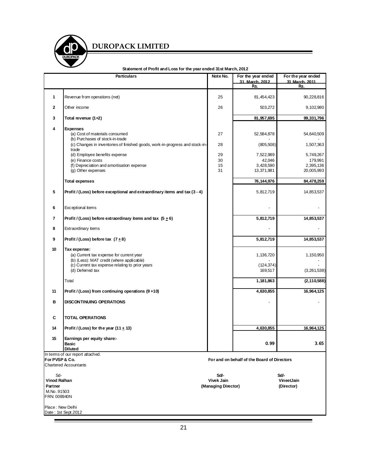

|                                | 31 deciment of Floht and Loss for the year ended 31 st March, 2012<br><b>Particulars</b>                                                                                     | Note No.                          | For the year ended<br>31 March. 2012<br>Rs. | For the year ended<br>31 March. 2011<br>Rs. |
|--------------------------------|------------------------------------------------------------------------------------------------------------------------------------------------------------------------------|-----------------------------------|---------------------------------------------|---------------------------------------------|
| 1                              | Revenue from operations (net)                                                                                                                                                | 25                                | 81,454,423                                  | 90,228,816                                  |
| $\mathbf{2}$                   | Other income                                                                                                                                                                 | 26                                | 503,272                                     | 9,102,980                                   |
| 3                              | Total revenue (1+2)                                                                                                                                                          |                                   | 81,957,695                                  | 99,331,796                                  |
| 4                              | <b>Expenses</b>                                                                                                                                                              |                                   |                                             |                                             |
|                                | (a) Cost of materials consumed<br>(b) Purchases of stock-in-trade                                                                                                            | 27                                | 52,584,878                                  | 54,640,509                                  |
|                                | (c) Changes in inventories of finished goods, work-in-progress and stock-in-<br>trade                                                                                        | 28                                | (805,508)                                   | 1,507,363                                   |
|                                | (d) Employee benefits expense                                                                                                                                                | 29                                | 7,522,989                                   | 5,749,267                                   |
|                                | (e) Finance costs<br>(f) Depreciation and amortisation expense                                                                                                               | 30<br>15                          | 42,046<br>3,428,590                         | 179,991<br>2,395,136                        |
|                                | (g) Other expenses                                                                                                                                                           | 31                                | 13,371,981                                  | 20,005,993                                  |
|                                | <b>Total expenses</b>                                                                                                                                                        |                                   | 76, 144, 976                                | 84,478,259                                  |
| 5                              | Profit / (Loss) before exceptional and extraordinary items and tax (3 - 4)                                                                                                   |                                   | 5,812,719                                   | 14,853,537                                  |
| 6                              | Exceptional items                                                                                                                                                            |                                   |                                             |                                             |
| 7                              | Profit / (Loss) before extraordinary items and tax $(5+6)$                                                                                                                   |                                   | 5,812,719                                   | 14,853,537                                  |
| 8                              | Extraordinary items                                                                                                                                                          |                                   |                                             |                                             |
| 9                              | Profit / (Loss) before tax $(7+8)$                                                                                                                                           |                                   | 5,812,719                                   | 14,853,537                                  |
| 10                             | Tax expense:<br>(a) Current tax expense for current year<br>(b) (Less): MAT credit (where applicable)<br>(c) Current tax expense relating to prior years<br>(d) Deferred tax |                                   | 1,136,720<br>(124, 374)<br>169,517          | 1,150,950<br>(3,261,538)                    |
|                                | Total                                                                                                                                                                        |                                   | 1,181,863                                   | (2, 110, 588)                               |
| 11                             | Profit / (Loss) from continuing operations (9+10)                                                                                                                            |                                   | 4,630,855                                   | 16,964,125                                  |
| в                              | <b>DISCONTINUING OPERATIONS</b>                                                                                                                                              |                                   |                                             |                                             |
| C                              | <b>TOTAL OPERATIONS</b>                                                                                                                                                      |                                   |                                             |                                             |
| 14                             | Profit / (Loss) for the year (11 $\pm$ 13)                                                                                                                                   |                                   | 4,630,855                                   | 16,964,125                                  |
| 15                             | Earnings per equity share:-<br>Basic                                                                                                                                         |                                   | 0.99                                        | 3.65                                        |
|                                | Diluted                                                                                                                                                                      |                                   |                                             |                                             |
| For PVSP & Co.                 | In terms of our report attached.                                                                                                                                             |                                   | For and on behalf of the Board of Directors |                                             |
|                                | <b>Chartered Accountants</b>                                                                                                                                                 |                                   |                                             |                                             |
| Sd-                            |                                                                                                                                                                              | Sd/-                              |                                             | Sd/-                                        |
| <b>Vinod Ralhan</b><br>Partner |                                                                                                                                                                              | Vivek Jain<br>(Managing Director) |                                             | VineetJain<br>(Director)                    |
| M.No. 91503<br>FRN: 008940N    |                                                                                                                                                                              |                                   |                                             |                                             |
| Place: New Delhi               | Date: 1st Sept.2012                                                                                                                                                          |                                   |                                             |                                             |

**Statement of Profit and Loss for the year ended 31st March, 2012**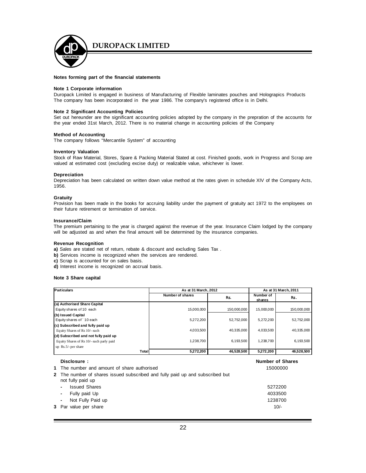

#### **Notes forming part of the financial statements**

#### **Note 1 Corporate information**

Duropack Limited is engaged in business of Manufacturing of Flexible laminates pouches and Holograpics Products The company has been incorporated in the year 1986. The company's registered office is in Delhi.

#### **Note 2 Significant Accounting Policies**

Set out hereunder are the significant accounting policies adopted by the company in the prepration of the accounts for the year ended 31st March, 2012. There is no material change in accounting policies of the Company

#### **Method of Accounting**

The company follows "Mercantile System" of accounting

#### **Inventory Valuation**

Stock of Raw Material, Stores, Spare & Packing Material Stated at cost. Finished goods, work in Progress and Scrap are valued at estimated cost (excluding excise duty) or realizable value, whichever is lower.

#### **Depreciation**

Depreciation has been calculated on written down value method at the rates given in schedule XIV of the Company Acts, 1956.

#### **Gratuity**

Provision has been made in the books for accruing liability under the payment of gratuity act 1972 to the employees on their future retirement or termination of service.

#### **Insurance/Claim**

The premium pertaining to the year is charged against the revenue of the year. Insurance Claim lodged by the company will be adjusted as and when the final amount will be determined by the insurance companies.

#### **Revenue Recognition**

**a)** Sales are stated net of return, rebate & discount and excluding Sales Tax .

- **b)** Services income is recognized when the services are rendered.
- **c)** Scrap is accounted for on sales basis.
- **d)** Interest income is recognized on accrual basis.

#### **Note 3 Share capital**

| <b>Particulars</b>                          |       | As at 31 March, 2012 |             | As at 31 March, 2011       |                         |
|---------------------------------------------|-------|----------------------|-------------|----------------------------|-------------------------|
|                                             |       | Number of shares     | Rs.         | Number of<br><u>shares</u> | Rs.                     |
| (a) Authorised Share Capital                |       |                      |             |                            |                         |
| Equity shares of 10 each                    |       | 15,000,000           | 150,000,000 | 15,000,000                 | 150,000,000             |
| (b) Issued Capital                          |       |                      |             |                            |                         |
| Equity shares of 10 each                    |       | 5,272,200            | 52,752,000  | 5,272,200                  | 52,752,000              |
| (c) Subscribed and fully paid up            |       |                      |             |                            |                         |
| Equity Shares of Rs 10/- each               |       | 4,033,500            | 40.335.000  | 4,033,500                  | 40,335,000              |
| (d) Subscribed and not fully paid up        |       |                      |             |                            |                         |
| Equity Shares of Rs 10/- each parly paid    |       | 1,238,700            | 6,193,500   | 1,238,700                  | 6,193,500               |
| up $Rs.5/-$ per share                       |       |                      |             |                            |                         |
|                                             | Total | 5,272,200            | 46,528,500  | 5,272,200                  | 46,528,500              |
| Disclosure:                                 |       |                      |             |                            | <b>Number of Shares</b> |
| 1 The number and amount of share authorised |       |                      |             |                            | 15000000                |

| 2 The number of shares issued subscribed and fully paid up and subscribed but |         |
|-------------------------------------------------------------------------------|---------|
| not fully paid up                                                             |         |
| <b>Issued Shares</b><br>$\blacksquare$                                        | 5272200 |
| - Fully paid Up                                                               | 4033500 |
| - Not Fully Paid up                                                           | 1238700 |
| <b>3</b> Par value per share                                                  | $10/-$  |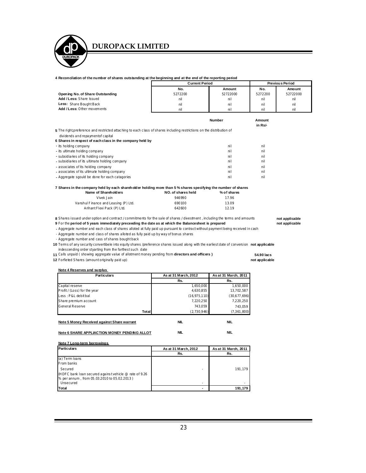#### **4 Reconcilation of the number of shares outstanding at the beginning and at the end of the reporting period**

|                                  | <b>Current Period</b> |          | <b>Previous Period</b> |          |
|----------------------------------|-----------------------|----------|------------------------|----------|
|                                  | No.                   | Amount   | No.                    | Amount   |
| Opening No. of Share Outstanding | 5272200               | 52722000 | 5272200                | 52722000 |
| Add / Less: Share Issued         | nil                   | ni       | nil                    | nil      |
| Less: Share Bought Back          | nil                   | ni       | nil                    | nil      |
| Add / Less: Other movements      | nil                   | ni       | nil                    | nil      |

|                                                                                                                                                             | <b>Number</b> | Amount<br>in Rs/- |  |
|-------------------------------------------------------------------------------------------------------------------------------------------------------------|---------------|-------------------|--|
| 5 The right, preference and restricted attaching to each class of shares including restrictions on the distribution of<br>dividends and repaymentof capital |               |                   |  |
| 6 Shares in respect of each class in the company held by                                                                                                    |               |                   |  |
| - its holding company                                                                                                                                       | ni l          | nil               |  |
| - its ultimate holding company                                                                                                                              | ni l          | nil               |  |
| - subsidiaries of its holding company                                                                                                                       | ni l          | nil               |  |
| - subsidiaries of its ultimate holding company                                                                                                              | ni l          | nil               |  |
| - associates of its holding company                                                                                                                         | ni l          | nil               |  |
| - associates of its ultimate holding company                                                                                                                | ni l          | nil               |  |
| - Aggregate sgould be done for each catagories                                                                                                              | ni l          | nil               |  |

| NO. of shares held | % of shares |  |
|--------------------|-------------|--|
| 946990             | 17.96       |  |
| 690100             | 13.09       |  |
| 642600             | 12.19       |  |
|                    |             |  |

**8** Shares issued under option and contract / commitments for the sale of shares / divestment , including the terms and amounts **not applicable**<br>**9** For the period of 5 years immediately preceeding the date as at which the

**9** For the period of 5 years immediately preceeding the date as at which the Balancesheet is prepared

**-** Aggregate number and each class of shares alloted at fully paid up pursuant to contract without payment being received in cash

- Aggregate number and class of shares alloted as fully paid up by way of bonus shares

- Aggregate number and cass of shares bought back

**10** Terms of any security convertibele into equity shares /preference shares issued along with the earliest date of conversion **not applicable** indescending order styarting from the farthest such date

**11** Calls unpaid ( showing aggregate value of allotment money pending from **directors and officers ) 54.90 lacs**

**12** Forfieted Shares (amount originally paid up) **not applicable**

**Note 4 Reserves and surplus** 

| <b>Particulars</b>                          | As at 31 March, 2012 | As at 31 March, 2011 |
|---------------------------------------------|----------------------|----------------------|
|                                             | Rs.                  | Rs.                  |
| Capital reserve                             | 1,650,000            | 1,650,000            |
| Profit / (Loss) for the year                | 4,630,855            | 13,702,587           |
| Less: P&L debit bal                         | (16, 975, 110)       | (30,677,696)         |
| Share premium account                       | 7,220,250            | 7,220,250            |
| General Reserve                             | 743,059              | 743,059              |
| Total                                       | (2,730,946)          | (7,361,800)          |
| Note 5 Money Received against Share warrant | <b>NIL</b>           | <b>NIL</b>           |

| Note 6 SHARE APPLIACTION MONEY PENDING ALLOT | <b>NII</b> |  |
|----------------------------------------------|------------|--|
|----------------------------------------------|------------|--|

**Note 7 Long-term borrowings** 

| <b>Particulars</b>                                                                                                 | As at 31 March, 2012 | As at 31 March, 2011 |
|--------------------------------------------------------------------------------------------------------------------|----------------------|----------------------|
|                                                                                                                    | Rs.                  | Rs.                  |
| (a) Term loans                                                                                                     |                      |                      |
| From banks                                                                                                         |                      |                      |
| Secured                                                                                                            |                      | 191.179              |
| (HDFC bank loan secured against vehicle @ rate of 9.26<br>% per annum, from 05.03.2010 to 05.02.2013)<br>Unsecured |                      |                      |
| Total                                                                                                              |                      | 191.179              |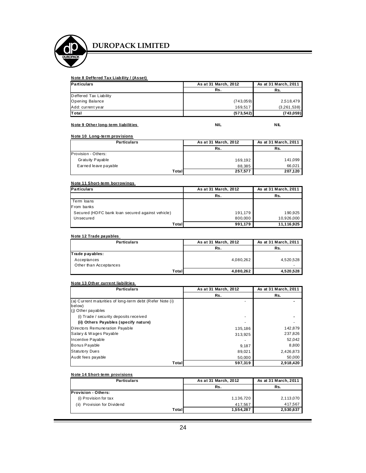

#### **N ote 8 Deffered Tax Liab ility / (Asset)**

| <b>Particulars</b>     | As at 31 March, 2012 | As at 31 March, 2011 |
|------------------------|----------------------|----------------------|
|                        | Rs.                  | Rs.                  |
| Deffered Tax Liability |                      |                      |
| <b>Opening Balance</b> | (743, 059)           | 2,518,479            |
| Add: current year      | 169.517              | (3,261,538)          |
| <b>Total</b>           | (573, 542)           | (743, 059)           |

#### **Note 9 Other long-term liabilities Access 10 ACC 2018 10 ACC 2018 10 ACC 2018 10 ACC 2019 10 ACC 2019 10 ACC 2019 10 ACC**

#### **N ote 10 Long-term provisions**

| <b>Particulars</b>   | As at 31 March, 2012 | As at 31 March, 2011 |
|----------------------|----------------------|----------------------|
|                      | Rs.                  | Rs.                  |
| Provision - Others:  |                      |                      |
| Gratuity Payable     | 169,192              | 141.099              |
| Earned leave payable | 88.385               | 66.021               |
| Total                | 257,577              | 207,120              |

#### **N ote 11 Short-term borrowings**

| <b>Particulars</b>                               | As at 31 March, 2012 | As at 31 March, 2011 |
|--------------------------------------------------|----------------------|----------------------|
|                                                  | Rs.                  | Rs.                  |
| Term loans                                       |                      |                      |
| From banks                                       |                      |                      |
| Secured (HDFC bank loan secured against vehicle) | 191,179              | 190,925              |
| Unsecured                                        | 800.000              | 10,926,000           |
| Total                                            | 991,179              | 11,116,925           |

#### **N ote 12 Trade payables**

| <b>Particulars</b>     | As at 31 March, 2012 | As at 31 March, 2011 |
|------------------------|----------------------|----------------------|
|                        | Rs.                  | Rs.                  |
| Trade payables:        |                      |                      |
| Acceptances            | 4,080,262            | 4,520,528            |
| Other than Acceptances |                      |                      |
| Total                  | 4,080,262            | 4,520,528            |

#### **N ote 13 Oth er current liabilities**

| <b>Particulars</b>                                       | As at 31 March, 2012 | As at 31 March, 2011 |
|----------------------------------------------------------|----------------------|----------------------|
|                                                          | Rs.                  | Rs.                  |
| (a) Current maturities of long-term debt (Refer Note (i) |                      |                      |
| below)                                                   |                      |                      |
| (i) Other payables                                       |                      |                      |
| (i) Trade / security deposits received                   | ۰                    |                      |
| (ii) Others Payables (specify nature)                    |                      |                      |
| Directors Remuneration Payable                           | 135,186              | 142,879              |
| Salary & Wages Payable                                   | 313,925              | 237,826              |
| Incentive Payable                                        |                      | 52,042               |
| Bonus Payable                                            | 9,187                | 8,800                |
| <b>Statutory Dues</b>                                    | 89,021               | 2,426,873            |
| Audit fees payable                                       | 50,000               | 50,000               |
| Total                                                    | 597,319              | 2,918,420            |

#### **N ote 14 Short-term provisions**

| <b>Particulars</b>          | As at 31 March, 2012 | As at 31 March, 2011 |
|-----------------------------|----------------------|----------------------|
|                             | Rs.                  | Rs.                  |
| <b>Provision - Others:</b>  |                      |                      |
| (i) Provision for tax       | 1,136,720            | 2,113,070            |
| (ii) Provision for Dividend | 417.567              | 417.567              |
| Total                       | 1,554,287            | 2,530,637            |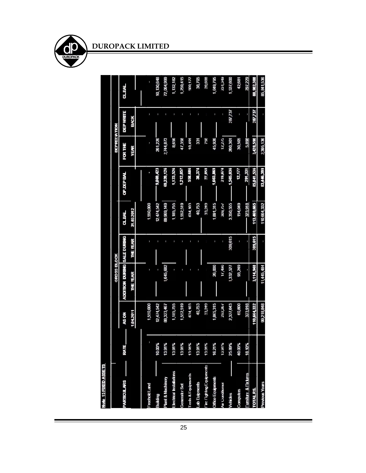| Note 15 FIXED ASSE IS           |        |             |                             |          |               |            |                  |                 |              |
|---------------------------------|--------|-------------|-----------------------------|----------|---------------|------------|------------------|-----------------|--------------|
|                                 |        |             | <b>GROSS BLOCK</b>          |          |               |            | <b>NOILVIOER</b> |                 |              |
| <b>PARTICULARS</b>              | RATE   | <b>MOSV</b> | ADDITION DURING SALE DURING |          | <b>CL.BAL</b> | OP DEP BAL | <b>FOR THE</b>   | <b>DEPWRITE</b> | <b>CLEAL</b> |
|                                 |        | 104201      | <b>UNE YEAR</b>             | THE YEAR | 31.03.2012    |            | <b>AFTAK</b>     | <b>ЯЭИЯ</b>     |              |
|                                 |        |             |                             |          |               |            |                  |                 |              |
| Freehold Land                   |        | 1,550,000   | ı                           | ı        | 1,550,000     | O          | ı                |                 | ı            |
| Building                        | 10.00% | 12,474,542  |                             |          | 12,474,542    | 9,869,423  | 261,226          |                 | 10,130,648   |
| Plant & Machinery               | 13.91% | 88,323,467  | (645,682                    | ı        | 89,969,149    | 69,320,126 | 2,744,873        |                 | 72,064,999   |
| <b>Electrical Installations</b> | 13.91% | 1,185,755   |                             | ı        | 1,185,755     | 1,123,526  | 8,656            | ı               | 1,132,182    |
| Generator Set                   | 13.91% | 1,552,519   |                             |          | 1,552,519     | 1,212,057  | 47,358           |                 | 1,259,415    |
| Tools & Equipments              | 13.91% | 634,103     |                             |          | 634,103       | 558,686    | 10,491           |                 | 569,177      |
| Lab Euipments                   | 13.91% | 40,753      |                             | I        | 40,753        | 38,374     | 331              |                 | 38,705       |
| Fire Fighting Equipments        | 13.91% | 33,249      |                             |          | 33,249        | 27,858     | 750              |                 | 28,608       |
| Office Equipments               | 1621%  | 1,865,315   | 26,000                      | ı        | 1,891,315     | 1,503,869  | 45,926           | ı               | 1,649,795    |
| <b>Air Conditoner</b>           | 13.91% | 292,267     | 17,490                      | ı        | 309,757       | 219,074    | 12,275           | ı               | 231,349      |
| Vehicles                        | 25.89% | 2,327,643   | 1,332,527                   | 309,615  | 3,350,555     | 1,565,036  | 260,301          | 287,737         | 1,537,600    |
| Computers                       | 40.00% | 60,800      | 93,249                      | Ū        | 154,049       | 12,177     | 30,505           | ı               | 42,681       |
| <b>Fumiture &amp; Fixtures</b>  | 18.10% | 323,918     | ı                           |          | 323,918       | 291,331    | 5,898            |                 | 297,229      |
| <b>TOTALRS</b>                  |        | 110,664,332 | 3,114,948                   | 309,615  | 113,469,665   | 85,841,536 | 3,428,590        | 787,737         | 88,982,388   |
| <b>Previous Years</b>           |        | 99,218,848  | 11,445,484                  |          | 110,664,332   | 83,446,399 | 2,395,136        |                 | 85,841,536   |

25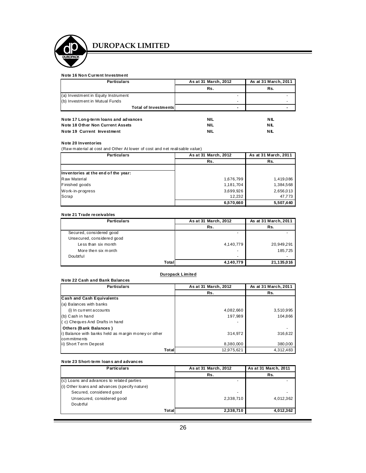

#### **Note 16 Non Current Investment**

| <b>Particulars</b>                   | As at 31 March, 2012 | As at 31 March, 2011 |
|--------------------------------------|----------------------|----------------------|
|                                      | Rs.                  | Rs.                  |
| (a) Investment in Equity Instrument  |                      | ۰                    |
| (b) Investment in Mutual Funds       |                      | ۰                    |
| <b>Total of Investments</b>          |                      | -                    |
| Note 17 Long-term loans and advances | NIL                  | <b>NIL</b>           |
| Note 18 Other Non Current Assets     | NIL                  | NIL                  |

#### **Note 19 Current Investment NIL NIL**

#### **Note 20 Inventories**

(Raw material at cost and Other At lower of cost and net realisable value)

| <b>Particulars</b>                  | As at 31 March, 2012 | As at 31 March, 2011 |
|-------------------------------------|----------------------|----------------------|
|                                     | Rs.                  | Rs.                  |
|                                     |                      |                      |
| Inventories at the end of the year: |                      |                      |
| Raw Material                        | 1,676,799            | 1,419,086            |
| Finished goods                      | 1,181,704            | 1,384,568            |
| Work-in-progress                    | 3,699,926            | 2,656,013            |
| Scrap                               | 12.232               | 47,773               |
|                                     | 6,570,660            | 5,507,440            |

#### **Note 21 Trade receivables**

| <b>Particulars</b>         | As at 31 March, 2012 | As at 31 March, 2011 |
|----------------------------|----------------------|----------------------|
|                            | Rs.                  | Rs.                  |
| Secured, considered good   |                      |                      |
| Unsecured, considered good |                      |                      |
| Less than six month        | 4,140,779            | 20,949,291           |
| More then six month        | ۰                    | 185.725              |
| Doubtful                   | ٠                    |                      |
| Total                      | 4,140,779            | 21,135,016           |

#### **Duropack Limited**

| Note 22 Cash and Bank Balances                      |                      |                      |
|-----------------------------------------------------|----------------------|----------------------|
| <b>Particulars</b>                                  | As at 31 March, 2012 | As at 31 March, 2011 |
|                                                     | Rs.                  | Rs.                  |
| <b>Cash and Cash Equivalents</b>                    |                      |                      |
| (a) Balances with banks                             |                      |                      |
| (i) In current accounts                             | 4,082,660            | 3,510,995            |
| (b) Cash in hand                                    | 197.989              | 104.866              |
| (c) Cheques And Drafts in hand                      |                      |                      |
| Others (Bank Balances)                              |                      |                      |
| i) Balance with banks held as margin money or other | 314,972              | 316,622              |
| commitments                                         |                      |                      |
| ii) Short Term Deposit                              | 8,380,000            | 380,000              |
| Total                                               | 12.975.621           | 4.312.483            |

#### **Note 23 Short-term loan s and advances**

| <b>Particulars</b>                            | As at 31 March, 2012 | As at 31 March, 2011 |
|-----------------------------------------------|----------------------|----------------------|
|                                               | Rs.                  | Rs.                  |
| (c) Loans and advances to related parties     |                      |                      |
| (i) Other loans and advances (specify nature) |                      |                      |
| Secured, considered good                      |                      |                      |
| Unsecured, considered good                    | 2,338,710            | 4,012,362            |
| Doubtful                                      |                      |                      |
| Total                                         | 2,338,710            | 4,012,362            |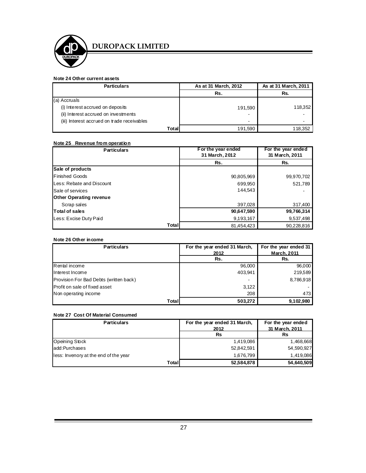

## **Note 24 Other current assets**

| <b>Particulars</b>                          | As at 31 March, 2012 | As at 31 March, 2011 |
|---------------------------------------------|----------------------|----------------------|
|                                             | Rs.                  | Rs.                  |
| (a) Accruals                                |                      |                      |
| (i) Interest accrued on deposits            | 191,590              | 118,352              |
| (ii) Interest accrued on investments        | $\blacksquare$       |                      |
| (iii) Interest accrued on trade receivables | $\blacksquare$       |                      |
| Total                                       | 191,590              | 118,352              |

#### **Note 25 Revenue from operation**

| <b>Particulars</b>             | For the year ended<br>31 March, 2012 | For the year ended<br>31 March, 2011 |
|--------------------------------|--------------------------------------|--------------------------------------|
|                                | Rs.                                  | Rs.                                  |
| Sale of products               |                                      |                                      |
| <b>Finished Goods</b>          | 90,805,969                           | 99,970,702                           |
| Less: Rebate and Discount      | 699,950                              | 521,789                              |
| Sale of services               | 144.543                              |                                      |
| <b>Other Operating revenue</b> |                                      |                                      |
| Scrap sales                    | 397,028                              | 317,400                              |
| Total of sales                 | 90,647,590                           | 99,766,314                           |
| Less: Excise Duty Paid         | 9,193,167                            | 9,537,498                            |
| Total                          | 81,454,423                           | 90,228,816                           |

#### **Note 26 Other income**

| <b>Particulars</b>                     | For the year ended 31 March, | For the year ended 31 |
|----------------------------------------|------------------------------|-----------------------|
|                                        | 2012                         | <b>March, 2011</b>    |
|                                        | Rs.                          | Rs.                   |
| Rental income                          | 96,000                       | 96,000                |
| Interest Income                        | 403,941                      | 219,589               |
| Provision For Bad Debts (written back) | $\blacksquare$               | 8,786,918             |
| <b>Profit on sale of fixed asset</b>   | 3,122                        |                       |
| Non operating income                   | 208                          | 473                   |
| Total                                  | 503,272                      | 9,102,980             |

#### **Note 27 Cost Of Material Consumed**

| <b>Particulars</b>                     | For the year ended 31 March,<br>2012 | For the year ended<br>31 March, 2011 |
|----------------------------------------|--------------------------------------|--------------------------------------|
|                                        | <b>Rs</b>                            | Rs                                   |
| Opeining Stock                         | 1,419,086                            | 1,468,668                            |
| ladd:Purchases                         | 52,842,591                           | 54,590,927                           |
| lless: Invenory at the end of the year | 1,676,799                            | 1,419,086                            |
| Total                                  | 52,584,878                           | 54,640,509                           |

.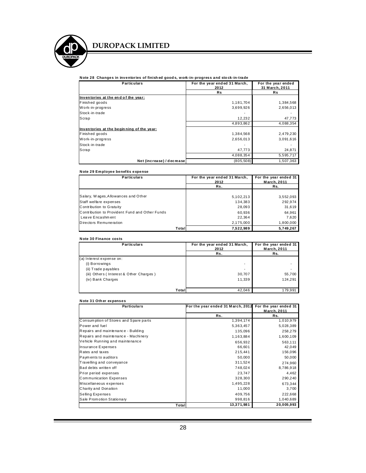

#### **N ote 28 Changes in inventories of finish ed good s, work-in- progress and sto ck-in-trade**

| <b>Particulars</b>                        | For the year ended 31 March,<br>2012 | For the year ended<br>31 March, 2011 |
|-------------------------------------------|--------------------------------------|--------------------------------------|
|                                           | <b>Rs</b>                            | <b>Rs</b>                            |
| Inventories at the end of the year:       |                                      |                                      |
| Finished goods                            | 1,181,704                            | 1,384,568                            |
| Work-in-progress                          | 3.699.926                            | 2,656,013                            |
| Stock-in-trade                            |                                      |                                      |
| Scrap                                     | 12,232                               | 47,773                               |
|                                           | 4.893.862                            | 4.088.354                            |
| Inventories at the beginning of the year: |                                      |                                      |
| Finished goods                            | 1,384,568                            | 2,479,230                            |
| Work-in-progress                          | 2,656,013                            | 3,091,616                            |
| Stock-in-trade                            |                                      |                                      |
| Scrap                                     | 47,773                               | 24,871                               |
|                                           | 4,088,354                            | 5,595,717                            |
| Net (increase) / decrease                 | (805, 508)                           | 1.507.363                            |

#### **N ote 29 Em ployee benefits expense**

| <b>Particulars</b>                             | For the year ended 31 March, | For the year ended 31 |
|------------------------------------------------|------------------------------|-----------------------|
|                                                | 2012<br>Rs.                  | March. 2011<br>Rs.    |
|                                                |                              |                       |
| Salary, Wages, Allowances and Other            | 5,102,213                    | 3,552,093             |
| Staff welfare expenses                         | 134.383                      | 292,974               |
| Contribution to Gratuity                       | 28,093                       | 31,619                |
| Contribution to Provident Fund and Other Funds | 60.936                       | 64.961                |
| Leave Encashment                               | 22,364                       | 7.620                 |
| Directors Remuneration                         | 2,175,000                    | 1,800,000             |
| Total                                          | 7,522,989                    | 5.749.267             |

#### **N ote 30 Finance costs**

| <b>Particulars</b>                      | For the year ended 31 March,<br>2012 | For the year ended 31<br>March, 2011 |
|-----------------------------------------|--------------------------------------|--------------------------------------|
|                                         | Rs.                                  | Rs.                                  |
| (a) Interest expense on:                |                                      |                                      |
| (i) Borrowings                          | ٠                                    |                                      |
| (ii) Trade payables                     | ٠                                    |                                      |
| (iii) Others (Interest & Other Charges) | 30,707                               | 55,700                               |
| (iv) Bank Charges                       | 11.339                               | 124.291                              |
|                                         |                                      |                                      |
| Total                                   | 42,046                               | 179,991                              |

#### **N ote 31 Oth er expenses**

| <b>Particulars</b>                    | For the year ended 31 March, 2012 For the year ended 31 |                    |
|---------------------------------------|---------------------------------------------------------|--------------------|
|                                       |                                                         | <b>March, 2011</b> |
|                                       | Rs.                                                     | Rs.                |
| Consumption of Stores and Spare parts | 1,394,174                                               | 1,010,979          |
| Power and fuel                        | 5,363,457                                               | 5,028,389          |
| Repairs and maintenance - Building    | 135,096                                                 | 258,279            |
| Repairs and maintenance - Machinery   | 1,163,884                                               | 1,600,109          |
| Vehicle Running and maintenance       | 656,932                                                 | 563,111            |
| Insurance Expenses                    | 66,601                                                  | 42,049             |
| Rates and taxes                       | 215,441                                                 | 156,096            |
| Payments to auditors                  | 50,000                                                  | 50,000             |
| Travelling and conveyance             | 311,524                                                 | 274,960            |
| Bad debts written off                 | 748,024                                                 | 8,786,918          |
| Prior period expenses                 | 23,747                                                  | 4,462              |
| <b>Communication Expenses</b>         | 328,300                                                 | 290,240            |
| Miscellaneous expenses                | 1,495,228                                               | 673,344            |
| Charity and Donation                  | 11,000                                                  | 3,700              |
| Selling Expenses                      | 409,756                                                 | 222,668            |
| Sale Promotion Stationary             | 998,816                                                 | 1,040,689          |
| Total                                 | 13,371,981                                              | 20,005,993         |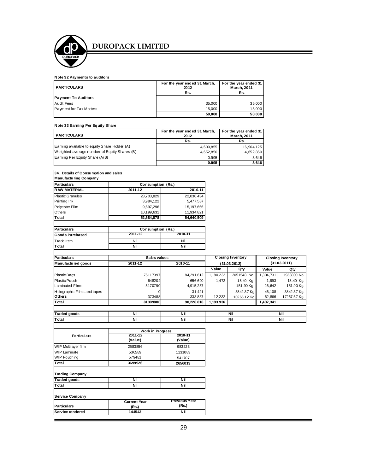

#### **Note 32 Payments to auditors**

| <b>PARTICULARS</b>         | For the year ended 31 March,<br>2012 | For the year ended 31<br><b>March, 2011</b> |
|----------------------------|--------------------------------------|---------------------------------------------|
|                            | Rs.                                  | Rs.                                         |
| <b>Payment To Auditors</b> |                                      |                                             |
| Audit Fees                 | 35,000                               | 35.000                                      |
| Payment for Tax Matters    | 15.000                               | 15.000                                      |
|                            | 50,000                               | 50.000                                      |

#### **Note 33 Earning Per Equity Share**

| <b>PARTICULARS</b>                           | For the year ended 31 March,<br>2012 | For the year ended 31<br>March, 2011 |
|----------------------------------------------|--------------------------------------|--------------------------------------|
|                                              | Rs.                                  | Rs.                                  |
| Earning available to equity Share Holder (A) | 4,630,855                            | 16,964,125                           |
| Weighted average number of Equity Shares (B) | 4,652,850                            | 4,652,850                            |
| Earning Per Equity Share (A/B)               | 0.995                                | 3.646                                |
|                                              | 0.995                                | 3.646                                |

#### **34. Details of Consumption and sales**

ľ

| Manufacturing Company   |                   |              |  |
|-------------------------|-------------------|--------------|--|
| <b>Particulars</b>      | Consumption (Rs.) |              |  |
| <b>RAW MATERIAL</b>     | 2011-12           | 2010-11      |  |
| <b>Plastic Granules</b> | 28,703,829        | 22.030.434   |  |
| Printing Ink            | 3,984,122         | 5,477,587    |  |
| Polyester Film          | 9,697,296         | 15, 197, 666 |  |
| Others                  | 10.199.631        | 11.934.821   |  |
| Total                   | 52.584.878        | 54.640.509   |  |

| Particulars     | Consumption (Rs.) |         |
|-----------------|-------------------|---------|
| Goods Purchased | 2011-12           | 2010-11 |
| Trade Item      | Nil               | Nil     |
| lT otal         | Nil               | ΝiΙ     |

| <b>Particulars</b>          | Sales values |            | <b>Closing Inventory</b> |              | <b>Closing Inventory</b> |              |  |
|-----------------------------|--------------|------------|--------------------------|--------------|--------------------------|--------------|--|
| Man ufactured goods         | 2011-12      | 2010-11    | (31.03.2012)             |              |                          | (31.03.2011) |  |
|                             |              |            | Value                    | Qty          | Value                    | Qty          |  |
| <b>Plastic Bags</b>         | 75117397     | 84,291,612 | 1,180,232                | 2051548 No.  | 1,304,731                | 1933800 No.  |  |
| <b>Plastic Pouch</b>        | 648204       | 656.690    | 1.472                    | 18.40 Kg.    | 1.993                    | 18.40 Kg.    |  |
| <b>Laminated Films</b>      | 5170790      | 4,915,257  |                          | 151.90 Kg.   | 16.642                   | 151.90 Kg.   |  |
| Holographic Films and tapes |              | 31.421     | -                        | 3842.37 Kg   | 46.108                   | 3842.37 Kg.  |  |
| <b>Others</b>               | 373488       | 333.837    | 12,232                   | 10265.12 Kal | 62,866                   | 17267.67 Kg. |  |
| <b>T</b> otal               | 81309880     | 90,228,816 | 1,193,936                |              | 1,432,341                |              |  |
|                             |              |            |                          |              |                          |              |  |

| _<br>`ra | Nil | .<br>ו זו                   | 1.11<br>Nıl | Nil |
|----------|-----|-----------------------------|-------------|-----|
| Total    | Nil | . .<br>$\sim$ $\sim$ $\sim$ | <br>Νı      | Nil |

|                        | <b>Work in Progress</b> |                    |
|------------------------|-------------------------|--------------------|
| <b>Particulars</b>     | 2011-12<br>(Value)      | 2010-11<br>(Value) |
| WIP Multilayer film    | 2583856                 | 983223             |
| <b>WIP Laminate</b>    | 536589                  | 1131083            |
| <b>WIP Pouching</b>    | 579481                  | 541707             |
| Total                  | 3699926                 | 2656013            |
| <b>Trading Company</b> |                         |                    |

| Traded goods | Nil | ΝiΙ |
|--------------|-----|-----|
| Total        | Nil | ΝiΙ |
|              |     |     |

| Service Company    |                              |                               |  |
|--------------------|------------------------------|-------------------------------|--|
| <b>Particulars</b> | <b>Current Year</b><br>(Rs.) | <b>Previous Year</b><br>(Rs.) |  |
| Service rendered   | 144543                       | Nil                           |  |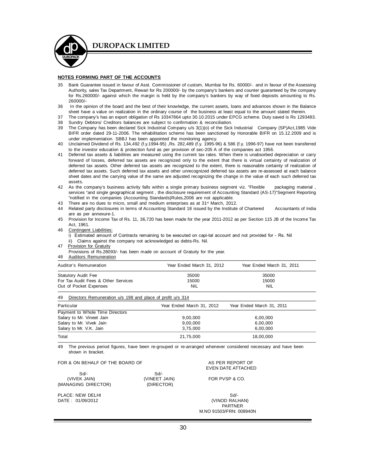

#### **NOTES FORMING PART OF THE ACCOUNTS**

- 35 Bank Guarantee issued in favour of Asst. Commissioner of custom, Mumbai for Rs. 60000/-. and in favour of the Assessing Authority, sales Tax Department, Rewari for Rs 200000/- by the company's bankers and counter guaranteed by the company for Rs.260000/- against which the margin is held by the company's bankers by way of fixed deposits amounting to Rs. 260000/-
- 36 In the opinion of the board and the best of their knowledge, the current assets, loans and advances shown in the Balance sheet have a value on realization in the ordinary course of the business at least equal to the amount stated therein.
- 37 The company's has an export obligation of Rs 10347864 upto 30.10.2015 under EPCG scheme. Duty saved is Rs 1293483.
- 38 Sundry Debtors/ Creditors balances are subject to confirmation & reconciliation.<br>39 The Company has been declared Sick Industrial Company u/s 3(1)(o) of the Sick
- The Company has been declared Sick Industrial Company u/s 3(1)(o) of the Sick Industrial Company (SP)Act,1985 Vide BIFR order dated 29-11-2006. The rehabilitation scheme has been sanctioned by Honorable BIFR on 15.12.2009 and is under implementation. SBBJ has been appointed the monitoring agency.
- 40 Unclaimed Dividend of Rs. 134,492 (f.y.1994-95) ,Rs. 282,489 (f.y. 1995-96) & 586 (f.y. 1996-97) have not been transferred to the investor education & protection fund as per provision of sec-205 A of the companies act 1956.
- 41 Deferred tax assets & liabilities are measured using the current tax rates. When there is unabsorbed depreciation or carry forward of losses, deferred tax assets are recognized only to the extent that there is virtual certainty of realization of deferred tax assets. Other deferred tax assets are recognized to the extent, there is reasonable certainty of realization of deferred tax assets. Such deferred tax assets and other unrecognized deferred tax assets are re-assessed at each balance sheet dates and the carrying value of the same are adjusted recognizing the change in the value of each such deferred tax assets.
- 42 As the company's business activity falls within a single primary business segment viz. "Flexible packaging material, services "and single geographical segment, the disclosure requirement of Accounting Standard (AS-17)"Segment Reporting "notified in the companies (Accounting Standards)Rules,2006 are not applicable.
- 43 There are no dues to micro, small and medium enterprises as at 31<sup>st</sup> March, 2012.
- 44 Related party disclosures in terms of Accounting Standard 18 issued by the Institute of Chartered Accountants of India are as per annexure-1.
- 45 Provision for Income Tax of Rs. 11, 36,720 has been made for the year 2011-2012 as per Section 115 JB of the Income Tax Act, 1961.
- 46 Contingent Liabilities:
	- i) Estimated amount of Contracts remaining to be executed on capi-tal account and not provided for Rs. Nil
		- ii) Claims against the company not acknowledged as debts-Rs. Nil.
- 47 Provision for Gratuity

Provisions of Rs.28093/- has been made on account of Gratuity for the year.

48 Auditors Remuneration

| Auditor's Remuneration                                           | Year Ended March 31, 2012 | Year Ended March 31, 2011 |  |
|------------------------------------------------------------------|---------------------------|---------------------------|--|
| <b>Statutory Audit Fee</b>                                       | 35000                     | 35000                     |  |
| For Tax Audit Fees & Other Services                              | 15000                     | 15000                     |  |
| Out of Pocket Expenses                                           | <b>NIL</b>                | <b>NIL</b>                |  |
| Directors Remuneration u/s 198 and place of profit u/s 314<br>49 |                           |                           |  |

| Particular                      | Year Ended March 31, 2012 | Year Ended March 31, 2011 |  |
|---------------------------------|---------------------------|---------------------------|--|
| Payment to Whole Time Directors |                           |                           |  |
| Salary to Mr. Vineet Jain       | 9,00,000                  | 6,00,000                  |  |
| Salary to Mr. Vivek Jain        | 9,00,000                  | 6,00,000                  |  |
| Salary to Mr. V.K. Jain         | 3.75.000                  | 6.00.000                  |  |
| Total                           | 21.75.000                 | 18,00,000                 |  |

49 The previous period figures, have been re-grouped or re-arranged whenever considered necessary and have been shown in bracket.

#### FOR & ON BEHALF OF THE BOARD OF A SERIES AS PER REPORT OF

|                                               |                                   | EVEN DAIE AI                       |
|-----------------------------------------------|-----------------------------------|------------------------------------|
| $Sd/-$<br>(VIVEK JAIN)<br>(MANAGING DIRECTOR) | Sd<br>(VINEET JAIN)<br>(DIRECTOR) | FOR PVSP & 0                       |
| PLACE: NEW DELHI<br>DATE: 01/09/2012          |                                   | Sd<br>(VINOD RALI<br><b>PARTNE</b> |

EVEN DATE ATTACHED

FOR PVSP & CO.

(VINOD RALHAN) PARTNER M.NO 91503/FRN: 008940N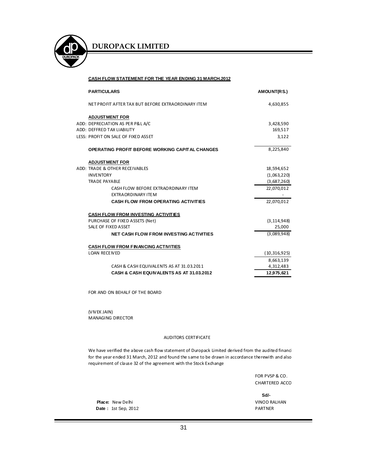

#### **CASH FLOW STATEMENT FOR THE YEAR ENDING 31 MARCH,2012**

| <b>PARTICULARS</b>                                               | AMOUNT(RS.)    |
|------------------------------------------------------------------|----------------|
| NET PROFIT AFTER TAX BUT BEFORE EXTRAORDINARY ITEM               | 4,630,855      |
| <b>ADJUSTMENT FOR</b>                                            |                |
| ADD: DEPRECIATION AS PER P&L A/C                                 | 3,428,590      |
| ADD: DEFFRED TAX LIABILITY                                       | 169,517        |
| LESS: PROFIT ON SALE OF FIXED ASSET                              | 3,122          |
| <b>OPERATING PROFIT BEFORE WORKING CAPITAL CHANGES</b>           | 8,225,840      |
| <b>ADJUSTMENT FOR</b>                                            |                |
| ADD: TRADE & OTHER RECEIVABLES                                   | 18,594,652     |
| <b>INVENTORY</b>                                                 | (1,063,220)    |
| <b>TRADE PAYABLE</b>                                             | (3,687,260)    |
| CASH FLOW BEFORE EXTRAORDINARY ITEM<br><b>FXTRAORDINARY ITFM</b> | 22,070,012     |
| <b>CASH FLOW FROM OPERATING ACTIVITIES</b>                       | 22,070,012     |
| <b>CASH FLOW FROM INVESTING ACTIVITIES</b>                       |                |
| PURCHASE OF FIXED ASSETS (Net)                                   | (3, 114, 948)  |
| SALE OF FIXED ASSET                                              | 25,000         |
| <b>NET CASH FLOW FROM INVESTING ACTIVITIES</b>                   | (3,089,948)    |
| <b>CASH FLOW FROM FINANCING ACTIVITIES</b>                       |                |
| <b>LOAN RECEIVED</b>                                             | (10, 316, 925) |
|                                                                  | 8,663,139      |
| CASH & CASH EQUIVALENTS AS AT 31.03.2011                         | 4,312,483      |
| CASH & CASH EQUIVALENTS AS AT 31.03.2012                         | 12,975,621     |

FOR AND ON BEHALF OF THE BOARD

(VIVEK JAIN) MANAGING DIRECTOR

#### AUDITORS CERTIFICATE

We have verified the above cash flow statement of Duropack Limited derived from the audited financi for the year ended 31 March, 2012 and found the same to be drawn in accordance therewith and also requirement of clause 32 of the agreement with the Stock Exchange

> FOR PVSP & CO. CHARTERED ACCO

**Place:** New Delhi VINOD RALHAN **Sd/-**

Date : 1st Sep, 2012 **PARTNER**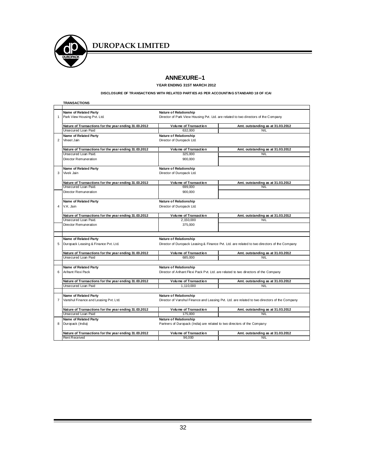

#### **ANNEXURE-1**

**YEAR ENDING 31ST MARCH 2012**

#### **DISCLOSURE OF TRANSACTIONS WITH RELATED PARTIES AS PER ACCOUNTING STANDARD 18 OF ICAI**

|                                             | <b>TRANSACTIONS</b>                                   |                                                                                     |                                                                                               |  |
|---------------------------------------------|-------------------------------------------------------|-------------------------------------------------------------------------------------|-----------------------------------------------------------------------------------------------|--|
|                                             | Name of Related Party                                 | Nature of Relationship                                                              |                                                                                               |  |
| 1                                           | Park View Housing Pvt. Ltd.                           | Director of Park View Housing Pvt. Ltd. are related to two directors of the Company |                                                                                               |  |
|                                             | Nature of Transactions for the year ending 31.03.2012 | Volume of Transaction                                                               | Amt. outstanding as at 31.03.2012                                                             |  |
|                                             | Unsecured Loan Paid                                   | 632.000                                                                             | <b>NIL</b>                                                                                    |  |
|                                             | Name of Related Party                                 | Nature of Relationship                                                              |                                                                                               |  |
| $\overline{2}$                              | Vineet Jain                                           | Director of Duropack Ltd.                                                           |                                                                                               |  |
|                                             | Nature of Transactions for the year ending 31.03.2012 | Volume of Transaction                                                               | Amt. outstanding as at 31.03.2012                                                             |  |
|                                             | Unsecured Loan Paid.                                  | 325,000                                                                             | <b>NIL</b>                                                                                    |  |
|                                             | Director Remuneration                                 | 900,000                                                                             |                                                                                               |  |
|                                             | Name of Related Party                                 | <b>Nature of Relationship</b>                                                       |                                                                                               |  |
| 3                                           | Vivek Jain                                            | Director of Duropack Ltd.                                                           |                                                                                               |  |
|                                             |                                                       |                                                                                     |                                                                                               |  |
|                                             | Nature of Transactions for the year ending 31.03.2012 | Volume of Transaction                                                               | Amt. outstanding as at 31.03.2012                                                             |  |
|                                             | Unsecured Loan Paid.                                  | 699,000                                                                             | <b>NIL</b>                                                                                    |  |
|                                             | Director Remuneration                                 | 900,000                                                                             |                                                                                               |  |
|                                             |                                                       |                                                                                     |                                                                                               |  |
|                                             | Name of Related Party                                 | Nature of Relationship                                                              |                                                                                               |  |
| 4<br>V.K. Jain<br>Director of Duropack Ltd. |                                                       |                                                                                     |                                                                                               |  |
|                                             | Nature of Transactions for the year ending 31.03.2012 | <b>Volume of Transaction</b>                                                        | Amt. outstanding as at 31.03.2012                                                             |  |
|                                             | Unsecured Loan Paid.                                  | 2,150,000                                                                           | <b>NIL</b>                                                                                    |  |
|                                             | Director Remuneration                                 | 375,000                                                                             |                                                                                               |  |
|                                             |                                                       |                                                                                     |                                                                                               |  |
|                                             | Name of Related Party                                 | Nature of Relationship                                                              |                                                                                               |  |
| 5                                           | Duropack Leasing & Finance Pvt. Ltd.                  |                                                                                     | Director of Duropack Leasing & Finance Pvt. Ltd. are related to two directors of the Company  |  |
|                                             | Nature of Transactions for the year ending 31.03.2012 | Volume of Transaction                                                               | Amt. outstanding as at 31.03.2012                                                             |  |
|                                             | Unsecured Loan Paid                                   | 685.000                                                                             | <b>NIL</b>                                                                                    |  |
|                                             |                                                       |                                                                                     |                                                                                               |  |
|                                             | Name of Related Party                                 | Nature of Relationship                                                              |                                                                                               |  |
| 6                                           | Arihant Flexi Pack                                    |                                                                                     | Director of Arihant Flexi Pack Pvt. Ltd. are related to two directors of the Company          |  |
|                                             |                                                       |                                                                                     |                                                                                               |  |
|                                             | Nature of Transactions for the year ending 31.03.2012 | Volume of Transaction                                                               | Amt. outstanding as at 31.03.2012                                                             |  |
|                                             | Unsecured Loan Paid                                   | 1.110.000                                                                           | <b>NIL</b>                                                                                    |  |
|                                             |                                                       |                                                                                     |                                                                                               |  |
|                                             | Name of Related Party                                 | <b>Nature of Relationship</b>                                                       |                                                                                               |  |
| 7                                           | Vanshul Finance and Leasing Pvt. Ltd.                 |                                                                                     | Director of Vanshul Finance and Leasing Pvt. Ltd. are related to two directors of the Company |  |
|                                             | Nature of Transactions for the year ending 31.03.2012 | Volume of Transaction                                                               | Amt. outstanding as at 31.03.2012                                                             |  |
|                                             | Unsecured Loan Paid                                   | 175,000                                                                             | <b>NIL</b>                                                                                    |  |
|                                             | Name of Related Party                                 | <b>Nature of Relationship</b>                                                       |                                                                                               |  |
| 8                                           | Duropack (India)                                      | Partners of Duropack (India) are related to two directors of the Company            |                                                                                               |  |
|                                             | Nature of Transactions for the year ending 31.03.2012 | <b>Volume of Transaction</b>                                                        | Amt. outstanding as at 31.03.2012                                                             |  |
|                                             | <b>Rent Received</b>                                  | 96.000                                                                              | <b>NIL</b>                                                                                    |  |

۰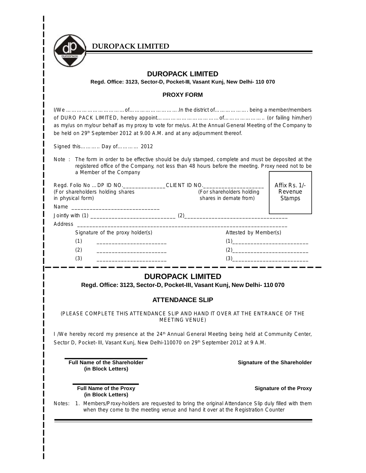

**Regd. Office: 3123, Sector-D, Pocket-III, Vasant Kunj, New Delhi- 110 070**

## **PROXY FORM**

| as my/us on my/our behalf as my proxy to vote for me/us. At the Annual General Meeting of the Company to<br>be held on 29 <sup>th</sup> September 2012 at 9.00 A.M. and at any adjournment thereof.                                                                                     |                                                                                                                                                                                                                                                                                                                                                                                                                                                                                                                              |                                     |
|-----------------------------------------------------------------------------------------------------------------------------------------------------------------------------------------------------------------------------------------------------------------------------------------|------------------------------------------------------------------------------------------------------------------------------------------------------------------------------------------------------------------------------------------------------------------------------------------------------------------------------------------------------------------------------------------------------------------------------------------------------------------------------------------------------------------------------|-------------------------------------|
| Signed this Day of 2012                                                                                                                                                                                                                                                                 |                                                                                                                                                                                                                                                                                                                                                                                                                                                                                                                              |                                     |
| Note: The form in order to be effective should be duly stamped, complete and must be deposited at the<br>a Member of the Company                                                                                                                                                        | registered office of the Company, not less than 48 hours before the meeting. Proxy need not to be                                                                                                                                                                                                                                                                                                                                                                                                                            |                                     |
| Regd. Folio No DP ID NO._____________CLIENT ID NO.___________________________                                                                                                                                                                                                           |                                                                                                                                                                                                                                                                                                                                                                                                                                                                                                                              | Affix Rs. 1/-                       |
| (For shareholders holding shares                                                                                                                                                                                                                                                        | (For shareholders holding                                                                                                                                                                                                                                                                                                                                                                                                                                                                                                    | Revenue                             |
| in physical form)                                                                                                                                                                                                                                                                       | shares in demate from)                                                                                                                                                                                                                                                                                                                                                                                                                                                                                                       | <b>Stamps</b>                       |
|                                                                                                                                                                                                                                                                                         |                                                                                                                                                                                                                                                                                                                                                                                                                                                                                                                              |                                     |
|                                                                                                                                                                                                                                                                                         |                                                                                                                                                                                                                                                                                                                                                                                                                                                                                                                              |                                     |
| Signature of the proxy holder(s)                                                                                                                                                                                                                                                        | Attested by Member(s)                                                                                                                                                                                                                                                                                                                                                                                                                                                                                                        |                                     |
| (1)                                                                                                                                                                                                                                                                                     | $(1)$                                                                                                                                                                                                                                                                                                                                                                                                                                                                                                                        |                                     |
| (2)                                                                                                                                                                                                                                                                                     |                                                                                                                                                                                                                                                                                                                                                                                                                                                                                                                              |                                     |
| (3)<br><u> 1950 - Johann John Stone, mars eta eta eta e</u>                                                                                                                                                                                                                             | $(3) \qquad \qquad \overbrace{\hspace{1.5cm} 2 \cdot \cdots \cdot 2 \cdot \cdots \cdot 2 \cdot \cdots \cdot 2 \cdot \cdots \cdot 2 \cdot \cdots \cdot 2 \cdot \cdots \cdot 2 \cdot \cdots \cdot 2 \cdot \cdots \cdot 2 \cdot \cdots \cdot 2 \cdot \cdots \cdot 2 \cdot \cdots \cdot 2 \cdot \cdots \cdot 2 \cdot \cdots \cdot 2 \cdot \cdots \cdot 2 \cdot \cdots \cdot 2 \cdot \cdots \cdot 2 \cdot \cdots \cdot 2 \cdot \cdots \cdot 2 \cdot \cdots \cdot 2 \cdot \cdots \cdot 2 \cdot \cdots \cdot 2 \cdot \cdots \cdot $ |                                     |
| (PLEASE COMPLETE THIS ATTENDANCE SLIP AND HAND IT OVER AT THE ENTRANCE OF THE<br>I /We hereby record my presence at the 24 <sup>th</sup> Annual General Meeting being held at Community Center,<br>Sector D, Pocket-III, Vasant Kunj, New Delhi-110070 on 29th September 2012 at 9 A.M. | <b>DUROPACK LIMITED</b><br>Regd. Office: 3123, Sector-D, Pocket-III, Vasant Kunj, New Delhi- 110 070<br><b>ATTENDANCE SLIP</b><br><b>MEETING VENUE)</b>                                                                                                                                                                                                                                                                                                                                                                      |                                     |
|                                                                                                                                                                                                                                                                                         |                                                                                                                                                                                                                                                                                                                                                                                                                                                                                                                              |                                     |
| <b>Full Name of the Shareholder</b><br>(in Block Letters)                                                                                                                                                                                                                               |                                                                                                                                                                                                                                                                                                                                                                                                                                                                                                                              | <b>Signature of the Shareholder</b> |
| <b>Full Name of the Proxy</b><br>(in Block Letters)                                                                                                                                                                                                                                     |                                                                                                                                                                                                                                                                                                                                                                                                                                                                                                                              | <b>Signature of the Proxy</b>       |
| Notes:                                                                                                                                                                                                                                                                                  | 1. Members/Proxy-holders are requested to bring the original Attendance Slip duly filled with them<br>when they come to the meeting venue and hand it over at the Registration Counter                                                                                                                                                                                                                                                                                                                                       |                                     |